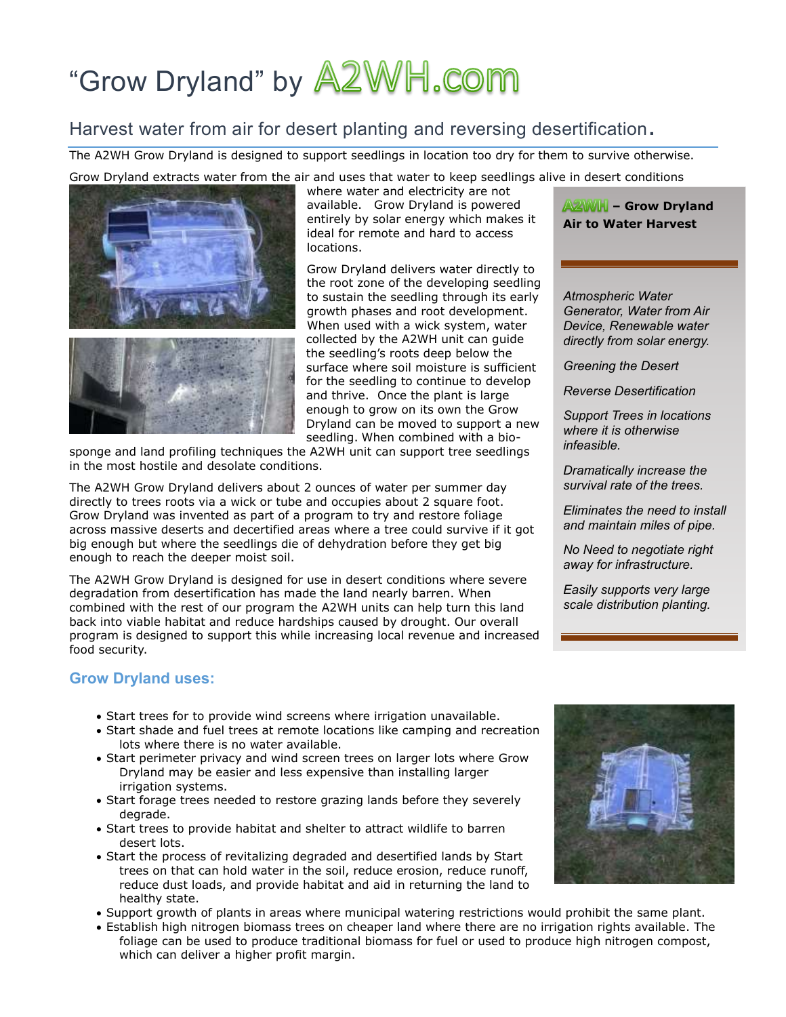# "Grow Dryland" by **A2WH.com**

# Harvest water from air for desert planting and reversing desertification.

The A2WH Grow Dryland is designed to support seedlings in location too dry for them to survive otherwise.

Grow Dryland extracts water from the air and uses that water to keep seedlings alive in desert conditions



where water and electricity are not available. Grow Dryland is powered entirely by solar energy which makes it ideal for remote and hard to access locations.

Grow Dryland delivers water directly to the root zone of the developing seedling to sustain the seedling through its early growth phases and root development. When used with a wick system, water collected by the A2WH unit can guide the seedling's roots deep below the surface where soil moisture is sufficient for the seedling to continue to develop and thrive. Once the plant is large enough to grow on its own the Grow Dryland can be moved to support a new seedling. When combined with a bio-

sponge and land profiling techniques the A2WH unit can support tree seedlings in the most hostile and desolate conditions.

The A2WH Grow Dryland delivers about 2 ounces of water per summer day directly to trees roots via a wick or tube and occupies about 2 square foot. Grow Dryland was invented as part of a program to try and restore foliage across massive deserts and decertified areas where a tree could survive if it got big enough but where the seedlings die of dehydration before they get big enough to reach the deeper moist soil.

The A2WH Grow Dryland is designed for use in desert conditions where severe degradation from desertification has made the land nearly barren. When combined with the rest of our program the A2WH units can help turn this land back into viable habitat and reduce hardships caused by drought. Our overall program is designed to support this while increasing local revenue and increased food security.

# **Grow Dryland uses:**

- Start trees for to provide wind screens where irrigation unavailable.
- Start shade and fuel trees at remote locations like camping and recreation lots where there is no water available.
- Start perimeter privacy and wind screen trees on larger lots where Grow Dryland may be easier and less expensive than installing larger irrigation systems.
- Start forage trees needed to restore grazing lands before they severely degrade.
- Start trees to provide habitat and shelter to attract wildlife to barren desert lots.
- Start the process of revitalizing degraded and desertified lands by Start trees on that can hold water in the soil, reduce erosion, reduce runoff, reduce dust loads, and provide habitat and aid in returning the land to healthy state.
- Support growth of plants in areas where municipal watering restrictions would prohibit the same plant.
- Establish high nitrogen biomass trees on cheaper land where there are no irrigation rights available. The foliage can be used to produce traditional biomass for fuel or used to produce high nitrogen compost, which can deliver a higher profit margin.

**– Grow Dryland Air to Water Harvest**

*Atmospheric Water Generator, Water from Air Device, Renewable water directly from solar energy.* 

*Greening the Desert*

*Reverse Desertification*

*Support Trees in locations where it is otherwise infeasible.*

*Dramatically increase the survival rate of the trees.*

*Eliminates the need to install and maintain miles of pipe.*

*No Need to negotiate right away for infrastructure.*

*Easily supports very large scale distribution planting.* 

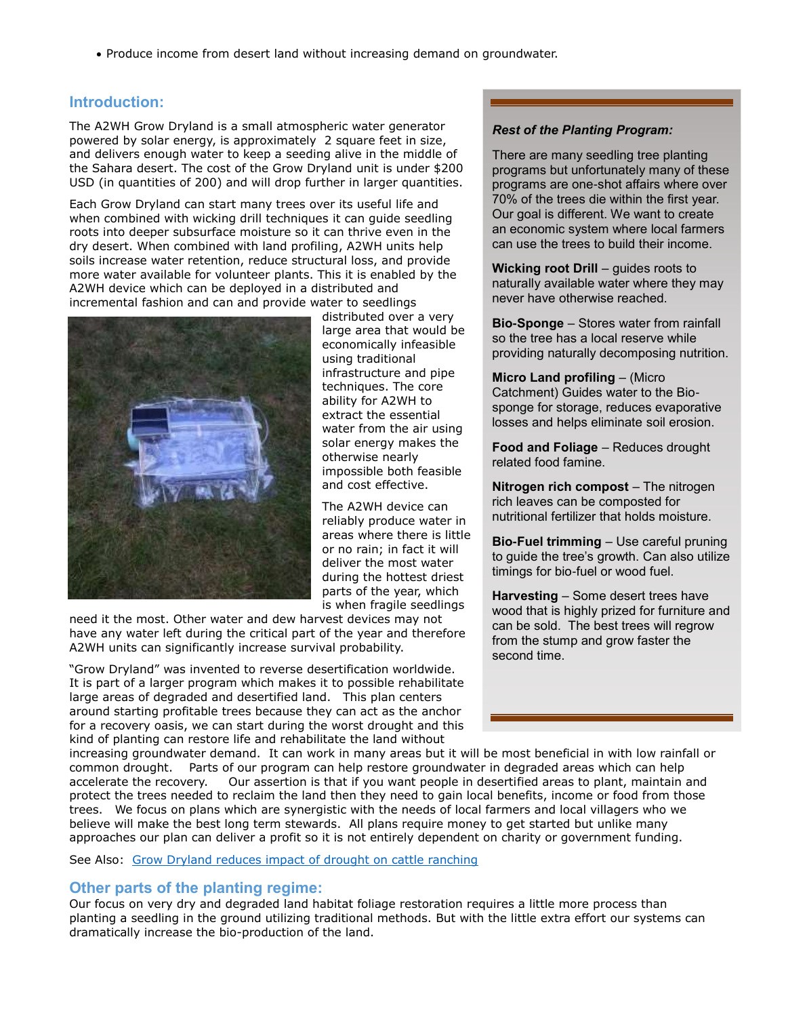Produce income from desert land without increasing demand on groundwater.

# **Introduction:**

The A2WH Grow Dryland is a small atmospheric water generator powered by solar energy, is approximately 2 square feet in size, and delivers enough water to keep a seeding alive in the middle of the Sahara desert. The cost of the Grow Dryland unit is under \$200 USD (in quantities of 200) and will drop further in larger quantities.

Each Grow Dryland can start many trees over its useful life and when combined with wicking drill techniques it can guide seedling roots into deeper subsurface moisture so it can thrive even in the dry desert. When combined with land profiling, A2WH units help soils increase water retention, reduce structural loss, and provide more water available for volunteer plants. This it is enabled by the A2WH device which can be deployed in a distributed and incremental fashion and can and provide water to seedlings



distributed over a very large area that would be economically infeasible using traditional infrastructure and pipe techniques. The core ability for A2WH to extract the essential water from the air using solar energy makes the otherwise nearly impossible both feasible and cost effective.

The A2WH device can reliably produce water in areas where there is little or no rain; in fact it will deliver the most water during the hottest driest parts of the year, which is when fragile seedlings

need it the most. Other water and dew harvest devices may not have any water left during the critical part of the year and therefore A2WH units can significantly increase survival probability.

"Grow Dryland" was invented to reverse desertification worldwide. It is part of a larger program which makes it to possible rehabilitate large areas of degraded and desertified land. This plan centers around starting profitable trees because they can act as the anchor for a recovery oasis, we can start during the worst drought and this kind of planting can restore life and rehabilitate the land without

*Rest of the Planting Program:* 

There are many seedling tree planting programs but unfortunately many of these programs are one-shot affairs where over 70% of the trees die within the first year. Our goal is different. We want to create an economic system where local farmers can use the trees to build their income.

**Wicking root Drill** – guides roots to naturally available water where they may never have otherwise reached.

**Bio-Sponge** – Stores water from rainfall so the tree has a local reserve while providing naturally decomposing nutrition.

**Micro Land profiling** – (Micro Catchment) Guides water to the Biosponge for storage, reduces evaporative losses and helps eliminate soil erosion.

**Food and Foliage** – Reduces drought related food famine.

**Nitrogen rich compost** – The nitrogen rich leaves can be composted for nutritional fertilizer that holds moisture.

**Bio-Fuel trimming** – Use careful pruning to guide the tree's growth. Can also utilize timings for bio-fuel or wood fuel.

**Harvesting** – Some desert trees have wood that is highly prized for furniture and can be sold. The best trees will regrow from the stump and grow faster the second time.

increasing groundwater demand. It can work in many areas but it will be most beneficial in with low rainfall or common drought. Parts of our program can help restore groundwater in degraded areas which can help accelerate the recovery. Our assertion is that if you want people in desertified areas to plant, maintain and protect the trees needed to reclaim the land then they need to gain local benefits, income or food from those trees. We focus on plans which are synergistic with the needs of local farmers and local villagers who we believe will make the best long term stewards. All plans require money to get started but unlike many approaches our plan can deliver a profit so it is not entirely dependent on charity or government funding.

See Also: [Grow Dryland reduces impact of drought on cattle ranching](http://a2wh.com/cattle-herding-drought-resiliance.html)

# **Other parts of the planting regime:**

Our focus on very dry and degraded land habitat foliage restoration requires a little more process than planting a seedling in the ground utilizing traditional methods. But with the little extra effort our systems can dramatically increase the bio-production of the land.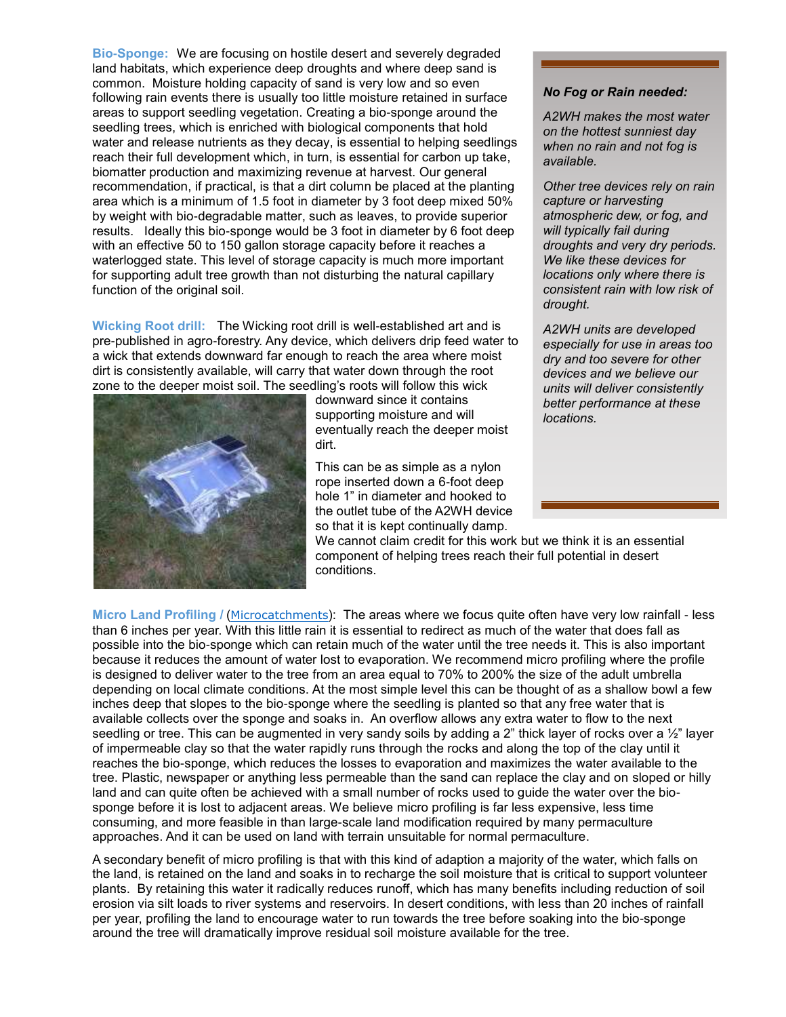**Bio-Sponge:** We are focusing on hostile desert and severely degraded land habitats, which experience deep droughts and where deep sand is common. Moisture holding capacity of sand is very low and so even following rain events there is usually too little moisture retained in surface areas to support seedling vegetation. Creating a bio-sponge around the seedling trees, which is enriched with biological components that hold water and release nutrients as they decay, is essential to helping seedlings reach their full development which, in turn, is essential for carbon up take, biomatter production and maximizing revenue at harvest. Our general recommendation, if practical, is that a dirt column be placed at the planting area which is a minimum of 1.5 foot in diameter by 3 foot deep mixed 50% by weight with bio-degradable matter, such as leaves, to provide superior results. Ideally this bio-sponge would be 3 foot in diameter by 6 foot deep with an effective 50 to 150 gallon storage capacity before it reaches a waterlogged state. This level of storage capacity is much more important for supporting adult tree growth than not disturbing the natural capillary function of the original soil.

**Wicking Root drill:** The Wicking root drill is well-established art and is pre-published in agro-forestry. Any device, which delivers drip feed water to a wick that extends downward far enough to reach the area where moist dirt is consistently available, will carry that water down through the root zone to the deeper moist soil. The seedling's roots will follow this wick



downward since it contains supporting moisture and will eventually reach the deeper moist dirt.

This can be as simple as a nylon rope inserted down a 6-foot deep hole 1" in diameter and hooked to the outlet tube of the A2WH device so that it is kept continually damp.

We cannot claim credit for this work but we think it is an essential component of helping trees reach their full potential in desert conditions.

## *No Fog or Rain needed:*

*A2WH makes the most water on the hottest sunniest day when no rain and not fog is available.* 

*Other tree devices rely on rain capture or harvesting atmospheric dew, or fog, and will typically fail during droughts and very dry periods. We like these devices for locations only where there is consistent rain with low risk of drought.*

*A2WH units are developed especially for use in areas too dry and too severe for other devices and we believe our units will deliver consistently better performance at these locations.* 

**Micro Land Profiling /** ([Microcatchments](http://www.sci.sdsu.edu/SERG/techniques/microcatch.pdf)): The areas where we focus quite often have very low rainfall - less than 6 inches per year. With this little rain it is essential to redirect as much of the water that does fall as possible into the bio-sponge which can retain much of the water until the tree needs it. This is also important because it reduces the amount of water lost to evaporation. We recommend micro profiling where the profile is designed to deliver water to the tree from an area equal to 70% to 200% the size of the adult umbrella depending on local climate conditions. At the most simple level this can be thought of as a shallow bowl a few inches deep that slopes to the bio-sponge where the seedling is planted so that any free water that is available collects over the sponge and soaks in. An overflow allows any extra water to flow to the next seedling or tree. This can be augmented in very sandy soils by adding a 2" thick layer of rocks over a 1/2" layer of impermeable clay so that the water rapidly runs through the rocks and along the top of the clay until it reaches the bio-sponge, which reduces the losses to evaporation and maximizes the water available to the tree. Plastic, newspaper or anything less permeable than the sand can replace the clay and on sloped or hilly land and can quite often be achieved with a small number of rocks used to guide the water over the biosponge before it is lost to adjacent areas. We believe micro profiling is far less expensive, less time consuming, and more feasible in than large-scale land modification required by many permaculture approaches. And it can be used on land with terrain unsuitable for normal permaculture.

A secondary benefit of micro profiling is that with this kind of adaption a majority of the water, which falls on the land, is retained on the land and soaks in to recharge the soil moisture that is critical to support volunteer plants. By retaining this water it radically reduces runoff, which has many benefits including reduction of soil erosion via silt loads to river systems and reservoirs. In desert conditions, with less than 20 inches of rainfall per year, profiling the land to encourage water to run towards the tree before soaking into the bio-sponge around the tree will dramatically improve residual soil moisture available for the tree.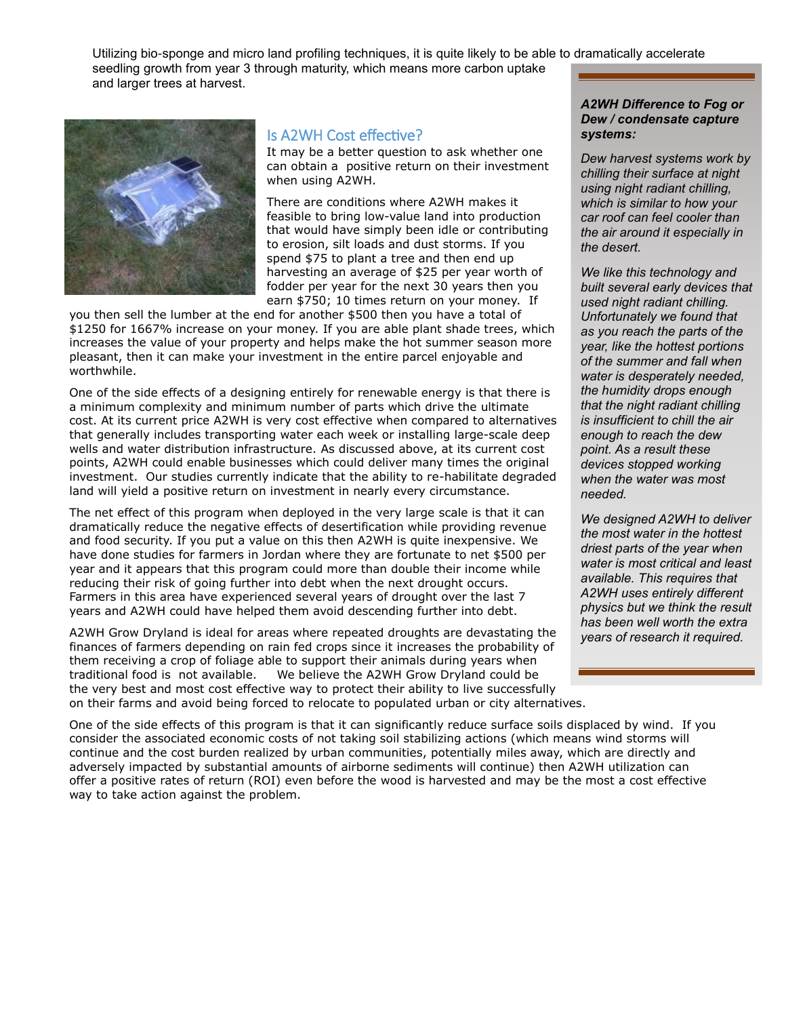Utilizing bio-sponge and micro land profiling techniques, it is quite likely to be able to dramatically accelerate seedling growth from year 3 through maturity, which means more carbon uptake and larger trees at harvest.



# Is A2WH Cost effective?

It may be a better question to ask whether one can obtain a positive return on their investment when using A2WH.

There are conditions where A2WH makes it feasible to bring low-value land into production that would have simply been idle or contributing to erosion, silt loads and dust storms. If you spend \$75 to plant a tree and then end up harvesting an average of \$25 per year worth of fodder per year for the next 30 years then you earn \$750; 10 times return on your money. If

you then sell the lumber at the end for another \$500 then you have a total of \$1250 for 1667% increase on your money. If you are able plant shade trees, which increases the value of your property and helps make the hot summer season more pleasant, then it can make your investment in the entire parcel enjoyable and worthwhile.

One of the side effects of a designing entirely for renewable energy is that there is a minimum complexity and minimum number of parts which drive the ultimate cost. At its current price A2WH is very cost effective when compared to alternatives that generally includes transporting water each week or installing large-scale deep wells and water distribution infrastructure. As discussed above, at its current cost points, A2WH could enable businesses which could deliver many times the original investment. Our studies currently indicate that the ability to re-habilitate degraded land will yield a positive return on investment in nearly every circumstance.

The net effect of this program when deployed in the very large scale is that it can dramatically reduce the negative effects of desertification while providing revenue and food security. If you put a value on this then A2WH is quite inexpensive. We have done studies for farmers in Jordan where they are fortunate to net \$500 per year and it appears that this program could more than double their income while reducing their risk of going further into debt when the next drought occurs. Farmers in this area have experienced several years of drought over the last 7 years and A2WH could have helped them avoid descending further into debt.

A2WH Grow Dryland is ideal for areas where repeated droughts are devastating the finances of farmers depending on rain fed crops since it increases the probability of them receiving a crop of foliage able to support their animals during years when traditional food is not available. We believe the A2WH Grow Dryland could be the very best and most cost effective way to protect their ability to live successfully on their farms and avoid being forced to relocate to populated urban or city alternatives.

## *A2WH Difference to Fog or Dew / condensate capture systems:*

*Dew harvest systems work by chilling their surface at night using night radiant chilling, which is similar to how your car roof can feel cooler than the air around it especially in the desert.* 

*We like this technology and built several early devices that used night radiant chilling. Unfortunately we found that as you reach the parts of the year, like the hottest portions of the summer and fall when water is desperately needed, the humidity drops enough that the night radiant chilling is insufficient to chill the air enough to reach the dew point. As a result these devices stopped working when the water was most needed.* 

*We designed A2WH to deliver the most water in the hottest driest parts of the year when water is most critical and least available. This requires that A2WH uses entirely different physics but we think the result has been well worth the extra years of research it required.* 

One of the side effects of this program is that it can significantly reduce surface soils displaced by wind. If you consider the associated economic costs of not taking soil stabilizing actions (which means wind storms will continue and the cost burden realized by urban communities, potentially miles away, which are directly and adversely impacted by substantial amounts of airborne sediments will continue) then A2WH utilization can offer a positive rates of return (ROI) even before the wood is harvested and may be the most a cost effective way to take action against the problem.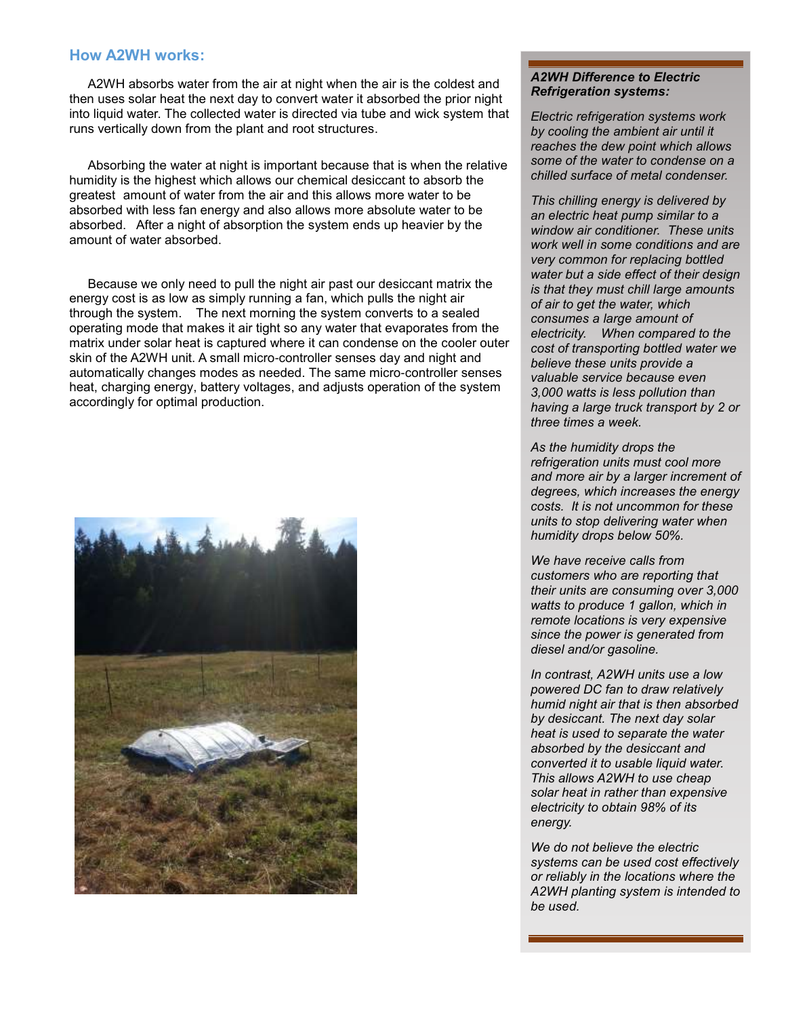## **How A2WH works:**

A2WH absorbs water from the air at night when the air is the coldest and then uses solar heat the next day to convert water it absorbed the prior night into liquid water. The collected water is directed via tube and wick system that runs vertically down from the plant and root structures.

Absorbing the water at night is important because that is when the relative humidity is the highest which allows our chemical desiccant to absorb the greatest amount of water from the air and this allows more water to be absorbed with less fan energy and also allows more absolute water to be absorbed. After a night of absorption the system ends up heavier by the amount of water absorbed.

Because we only need to pull the night air past our desiccant matrix the energy cost is as low as simply running a fan, which pulls the night air through the system. The next morning the system converts to a sealed operating mode that makes it air tight so any water that evaporates from the matrix under solar heat is captured where it can condense on the cooler outer skin of the A2WH unit. A small micro-controller senses day and night and automatically changes modes as needed. The same micro-controller senses heat, charging energy, battery voltages, and adjusts operation of the system accordingly for optimal production.



## *A2WH Difference to Electric Refrigeration systems:*

*Electric refrigeration systems work by cooling the ambient air until it reaches the dew point which allows some of the water to condense on a chilled surface of metal condenser.* 

*This chilling energy is delivered by an electric heat pump similar to a window air conditioner. These units work well in some conditions and are very common for replacing bottled water but a side effect of their design is that they must chill large amounts of air to get the water, which consumes a large amount of electricity. When compared to the cost of transporting bottled water we believe these units provide a valuable service because even 3,000 watts is less pollution than having a large truck transport by 2 or three times a week.* 

*As the humidity drops the refrigeration units must cool more and more air by a larger increment of degrees, which increases the energy costs. It is not uncommon for these units to stop delivering water when humidity drops below 50%.* 

*We have receive calls from customers who are reporting that their units are consuming over 3,000 watts to produce 1 gallon, which in remote locations is very expensive since the power is generated from diesel and/or gasoline.* 

*In contrast, A2WH units use a low powered DC fan to draw relatively humid night air that is then absorbed by desiccant. The next day solar heat is used to separate the water absorbed by the desiccant and converted it to usable liquid water. This allows A2WH to use cheap solar heat in rather than expensive electricity to obtain 98% of its energy.* 

*We do not believe the electric systems can be used cost effectively or reliably in the locations where the A2WH planting system is intended to be used.*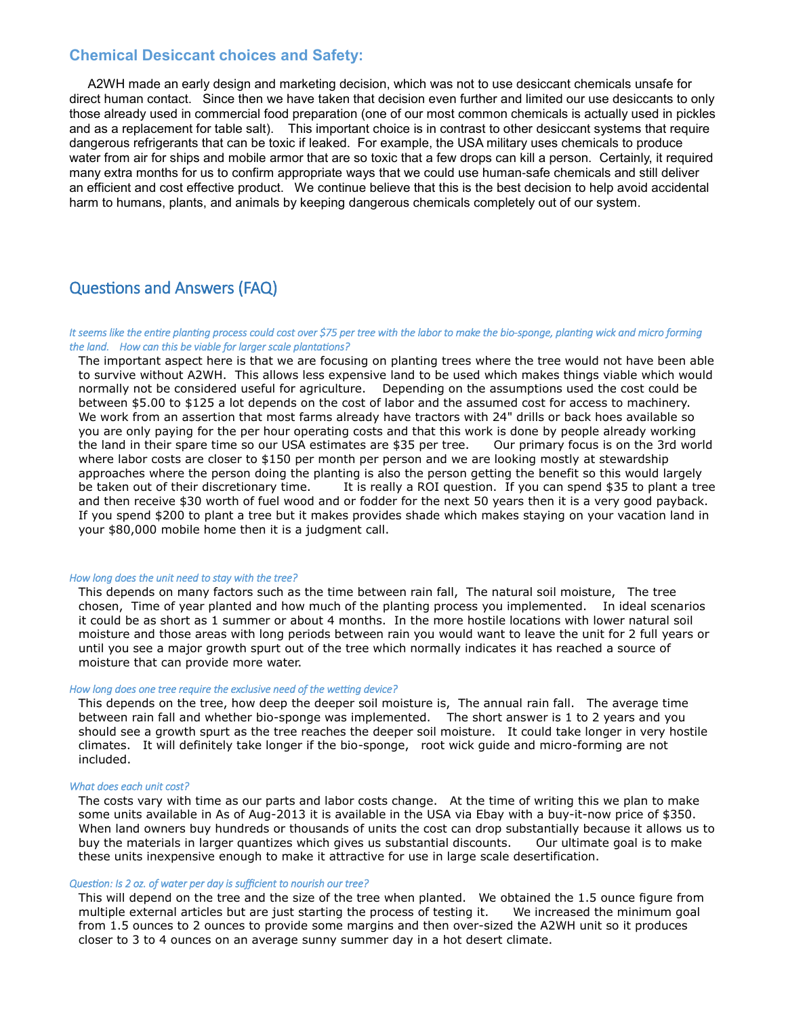# **Chemical Desiccant choices and Safety:**

A2WH made an early design and marketing decision, which was not to use desiccant chemicals unsafe for direct human contact. Since then we have taken that decision even further and limited our use desiccants to only those already used in commercial food preparation (one of our most common chemicals is actually used in pickles and as a replacement for table salt). This important choice is in contrast to other desiccant systems that require dangerous refrigerants that can be toxic if leaked. For example, the USA military uses chemicals to produce water from air for ships and mobile armor that are so toxic that a few drops can kill a person. Certainly, it required many extra months for us to confirm appropriate ways that we could use human-safe chemicals and still deliver an efficient and cost effective product. We continue believe that this is the best decision to help avoid accidental harm to humans, plants, and animals by keeping dangerous chemicals completely out of our system.

# Questions and Answers (FAQ)

#### *It seems like the entire planting process could cost over \$75 per tree with the labor to make the bio-sponge, planting wick and micro forming the land. How can this be viable for larger scale plantations?*

The important aspect here is that we are focusing on planting trees where the tree would not have been able to survive without A2WH. This allows less expensive land to be used which makes things viable which would normally not be considered useful for agriculture. Depending on the assumptions used the cost could be between \$5.00 to \$125 a lot depends on the cost of labor and the assumed cost for access to machinery. We work from an assertion that most farms already have tractors with 24" drills or back hoes available so you are only paying for the per hour operating costs and that this work is done by people already working the land in their spare time so our USA estimates are \$35 per tree. Our primary focus is on the 3rd world where labor costs are closer to \$150 per month per person and we are looking mostly at stewardship approaches where the person doing the planting is also the person getting the benefit so this would largely be taken out of their discretionary time. It is really a ROI question. If you can spend \$35 to plant a tree and then receive \$30 worth of fuel wood and or fodder for the next 50 years then it is a very good payback. If you spend \$200 to plant a tree but it makes provides shade which makes staying on your vacation land in your \$80,000 mobile home then it is a judgment call.

#### *How long does the unit need to stay with the tree?*

This depends on many factors such as the time between rain fall, The natural soil moisture, The tree chosen, Time of year planted and how much of the planting process you implemented. In ideal scenarios it could be as short as 1 summer or about 4 months. In the more hostile locations with lower natural soil moisture and those areas with long periods between rain you would want to leave the unit for 2 full years or until you see a major growth spurt out of the tree which normally indicates it has reached a source of moisture that can provide more water.

## *How long does one tree require the exclusive need of the wetting device?*

This depends on the tree, how deep the deeper soil moisture is, The annual rain fall. The average time between rain fall and whether bio-sponge was implemented. The short answer is 1 to 2 years and you should see a growth spurt as the tree reaches the deeper soil moisture. It could take longer in very hostile climates. It will definitely take longer if the bio-sponge, root wick guide and micro-forming are not included.

#### *What does each unit cost?*

The costs vary with time as our parts and labor costs change. At the time of writing this we plan to make some units available in As of Aug-2013 it is available in the USA via Ebay with a buy-it-now price of \$350. When land owners buy hundreds or thousands of units the cost can drop substantially because it allows us to buy the materials in larger quantizes which gives us substantial discounts. Our ultimate goal is to make these units inexpensive enough to make it attractive for use in large scale desertification.

#### *Question: Is 2 oz. of water per day is sufficient to nourish our tree?*

This will depend on the tree and the size of the tree when planted. We obtained the 1.5 ounce figure from multiple external articles but are just starting the process of testing it. We increased the minimum goal from 1.5 ounces to 2 ounces to provide some margins and then over-sized the A2WH unit so it produces closer to 3 to 4 ounces on an average sunny summer day in a hot desert climate.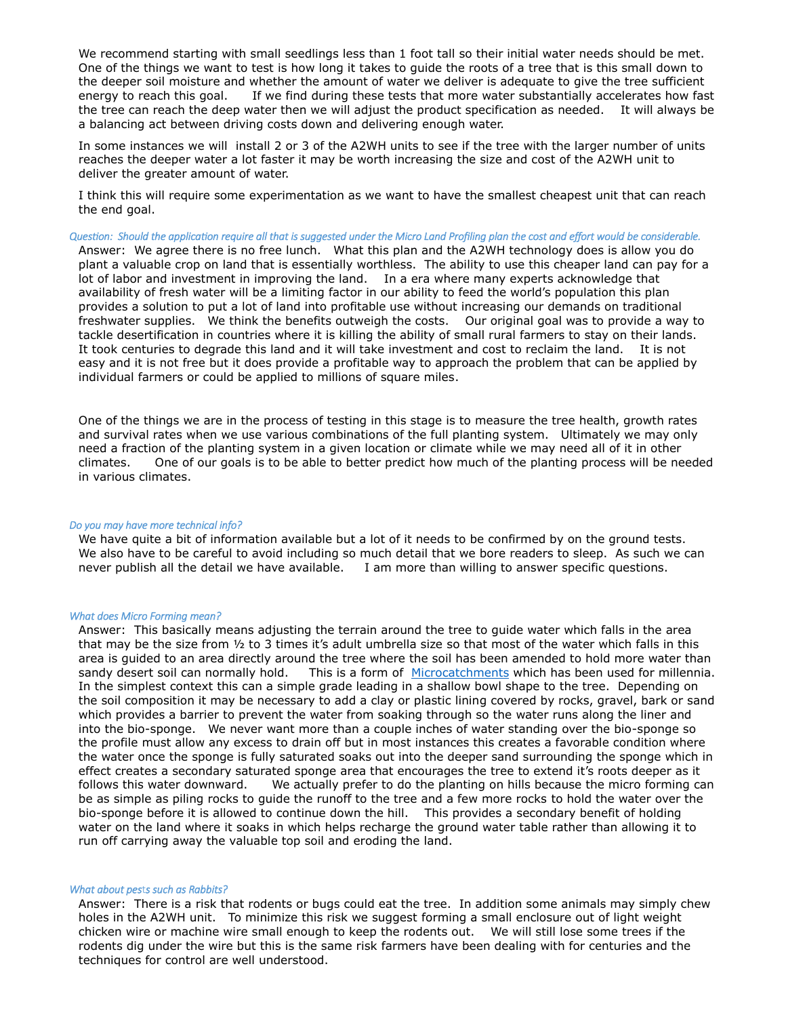We recommend starting with small seedlings less than 1 foot tall so their initial water needs should be met. One of the things we want to test is how long it takes to guide the roots of a tree that is this small down to the deeper soil moisture and whether the amount of water we deliver is adequate to give the tree sufficient energy to reach this goal. If we find during these tests that more water substantially accelerates how fast the tree can reach the deep water then we will adjust the product specification as needed. It will always be a balancing act between driving costs down and delivering enough water.

In some instances we will install 2 or 3 of the A2WH units to see if the tree with the larger number of units reaches the deeper water a lot faster it may be worth increasing the size and cost of the A2WH unit to deliver the greater amount of water.

I think this will require some experimentation as we want to have the smallest cheapest unit that can reach the end goal.

*Question: Should the application require all that is suggested under the Micro Land Profiling plan the cost and effort would be considerable.*  Answer: We agree there is no free lunch. What this plan and the A2WH technology does is allow you do plant a valuable crop on land that is essentially worthless. The ability to use this cheaper land can pay for a lot of labor and investment in improving the land. In a era where many experts acknowledge that availability of fresh water will be a limiting factor in our ability to feed the world's population this plan provides a solution to put a lot of land into profitable use without increasing our demands on traditional freshwater supplies. We think the benefits outweigh the costs. Our original goal was to provide a way to tackle desertification in countries where it is killing the ability of small rural farmers to stay on their lands. It took centuries to degrade this land and it will take investment and cost to reclaim the land. It is not easy and it is not free but it does provide a profitable way to approach the problem that can be applied by individual farmers or could be applied to millions of square miles.

One of the things we are in the process of testing in this stage is to measure the tree health, growth rates and survival rates when we use various combinations of the full planting system. Ultimately we may only need a fraction of the planting system in a given location or climate while we may need all of it in other climates. One of our goals is to be able to better predict how much of the planting process will be needed in various climates.

#### *Do you may have more technical info?*

We have quite a bit of information available but a lot of it needs to be confirmed by on the ground tests. We also have to be careful to avoid including so much detail that we bore readers to sleep. As such we can never publish all the detail we have available. I am more than willing to answer specific questions.

#### *What does Micro Forming mean?*

Answer: This basically means adjusting the terrain around the tree to guide water which falls in the area that may be the size from  $\frac{1}{2}$  to 3 times it's adult umbrella size so that most of the water which falls in this area is guided to an area directly around the tree where the soil has been amended to hold more water than sandy desert soil can normally hold. This is a form of [Microcatchments](http://www.sci.sdsu.edu/SERG/techniques/microcatch.pdf) which has been used for millennia. In the simplest context this can a simple grade leading in a shallow bowl shape to the tree. Depending on the soil composition it may be necessary to add a clay or plastic lining covered by rocks, gravel, bark or sand which provides a barrier to prevent the water from soaking through so the water runs along the liner and into the bio-sponge. We never want more than a couple inches of water standing over the bio-sponge so the profile must allow any excess to drain off but in most instances this creates a favorable condition where the water once the sponge is fully saturated soaks out into the deeper sand surrounding the sponge which in effect creates a secondary saturated sponge area that encourages the tree to extend it's roots deeper as it follows this water downward. We actually prefer to do the planting on hills because the micro forming can be as simple as piling rocks to guide the runoff to the tree and a few more rocks to hold the water over the bio-sponge before it is allowed to continue down the hill. This provides a secondary benefit of holding water on the land where it soaks in which helps recharge the ground water table rather than allowing it to run off carrying away the valuable top soil and eroding the land.

#### *What about pes*t*s such as Rabbits?*

Answer: There is a risk that rodents or bugs could eat the tree. In addition some animals may simply chew holes in the A2WH unit. To minimize this risk we suggest forming a small enclosure out of light weight chicken wire or machine wire small enough to keep the rodents out. We will still lose some trees if the rodents dig under the wire but this is the same risk farmers have been dealing with for centuries and the techniques for control are well understood.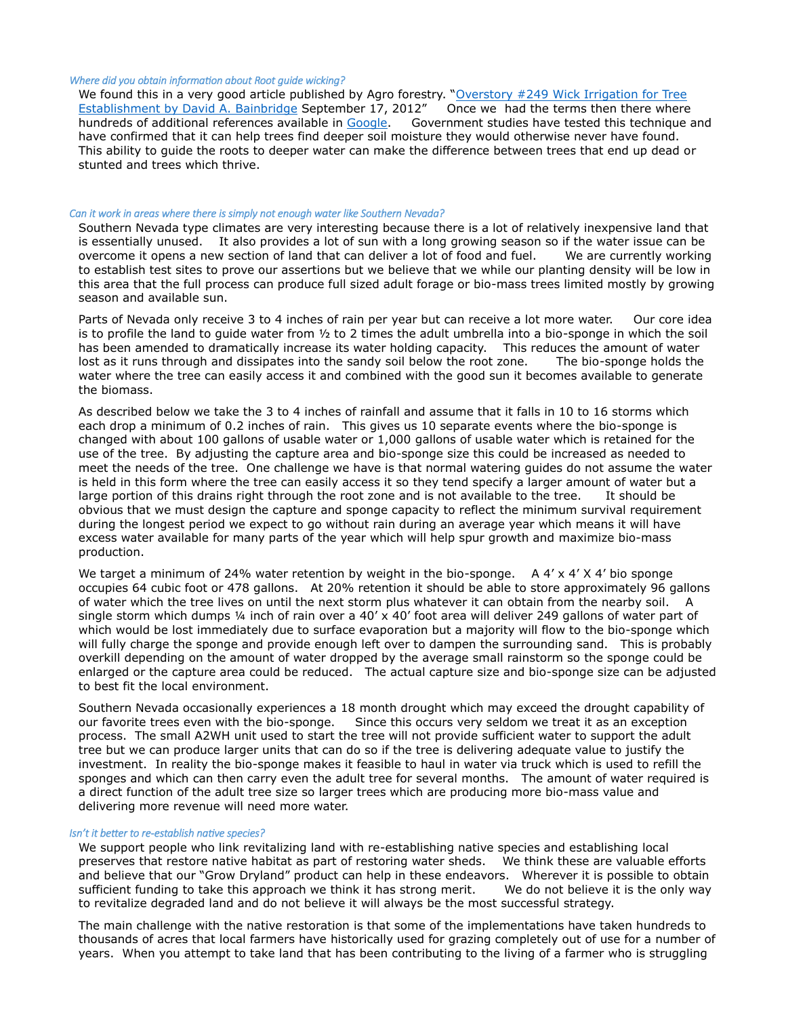#### *Where did you obtain information about Root guide wicking?*

We found this in a very good article published by Agro forestry. "Overstory #249 Wick Irrigation for Tree [Establishment by David A. Bainbridge](http://agroforestry.net/overstory/overstory249.html) September 17, 2012" Once we had the terms then there where hundreds of additional references available in [Google.](https://www.google.com/?q=wick+plant+establishment) Government studies have tested this technique and have confirmed that it can help trees find deeper soil moisture they would otherwise never have found. This ability to guide the roots to deeper water can make the difference between trees that end up dead or stunted and trees which thrive.

#### *Can it work in areas where there is simply not enough water like Southern Nevada?*

Southern Nevada type climates are very interesting because there is a lot of relatively inexpensive land that is essentially unused. It also provides a lot of sun with a long growing season so if the water issue can be overcome it opens a new section of land that can deliver a lot of food and fuel. We are currently working to establish test sites to prove our assertions but we believe that we while our planting density will be low in this area that the full process can produce full sized adult forage or bio-mass trees limited mostly by growing season and available sun.

Parts of Nevada only receive 3 to 4 inches of rain per year but can receive a lot more water. Our core idea is to profile the land to guide water from ½ to 2 times the adult umbrella into a bio-sponge in which the soil has been amended to dramatically increase its water holding capacity. This reduces the amount of water lost as it runs through and dissipates into the sandy soil below the root zone. The bio-sponge holds the water where the tree can easily access it and combined with the good sun it becomes available to generate the biomass.

As described below we take the 3 to 4 inches of rainfall and assume that it falls in 10 to 16 storms which each drop a minimum of 0.2 inches of rain. This gives us 10 separate events where the bio-sponge is changed with about 100 gallons of usable water or 1,000 gallons of usable water which is retained for the use of the tree. By adjusting the capture area and bio-sponge size this could be increased as needed to meet the needs of the tree. One challenge we have is that normal watering guides do not assume the water is held in this form where the tree can easily access it so they tend specify a larger amount of water but a large portion of this drains right through the root zone and is not available to the tree. It should be obvious that we must design the capture and sponge capacity to reflect the minimum survival requirement during the longest period we expect to go without rain during an average year which means it will have excess water available for many parts of the year which will help spur growth and maximize bio-mass production.

We target a minimum of 24% water retention by weight in the bio-sponge.  $A_4 \times A_5 \times A_6$  bio sponge occupies 64 cubic foot or 478 gallons. At 20% retention it should be able to store approximately 96 gallons of water which the tree lives on until the next storm plus whatever it can obtain from the nearby soil. A single storm which dumps  $\frac{1}{4}$  inch of rain over a 40' x 40' foot area will deliver 249 gallons of water part of which would be lost immediately due to surface evaporation but a majority will flow to the bio-sponge which will fully charge the sponge and provide enough left over to dampen the surrounding sand. This is probably overkill depending on the amount of water dropped by the average small rainstorm so the sponge could be enlarged or the capture area could be reduced. The actual capture size and bio-sponge size can be adjusted to best fit the local environment.

Southern Nevada occasionally experiences a 18 month drought which may exceed the drought capability of our favorite trees even with the bio-sponge. Since this occurs very seldom we treat it as an exception process. The small A2WH unit used to start the tree will not provide sufficient water to support the adult tree but we can produce larger units that can do so if the tree is delivering adequate value to justify the investment. In reality the bio-sponge makes it feasible to haul in water via truck which is used to refill the sponges and which can then carry even the adult tree for several months. The amount of water required is a direct function of the adult tree size so larger trees which are producing more bio-mass value and delivering more revenue will need more water.

#### *Isn't it better to re-establish native species?*

We support people who link revitalizing land with re-establishing native species and establishing local preserves that restore native habitat as part of restoring water sheds. We think these are valuable efforts and believe that our "Grow Dryland" product can help in these endeavors. Wherever it is possible to obtain sufficient funding to take this approach we think it has strong merit. We do not believe it is the only way to revitalize degraded land and do not believe it will always be the most successful strategy.

The main challenge with the native restoration is that some of the implementations have taken hundreds to thousands of acres that local farmers have historically used for grazing completely out of use for a number of years. When you attempt to take land that has been contributing to the living of a farmer who is struggling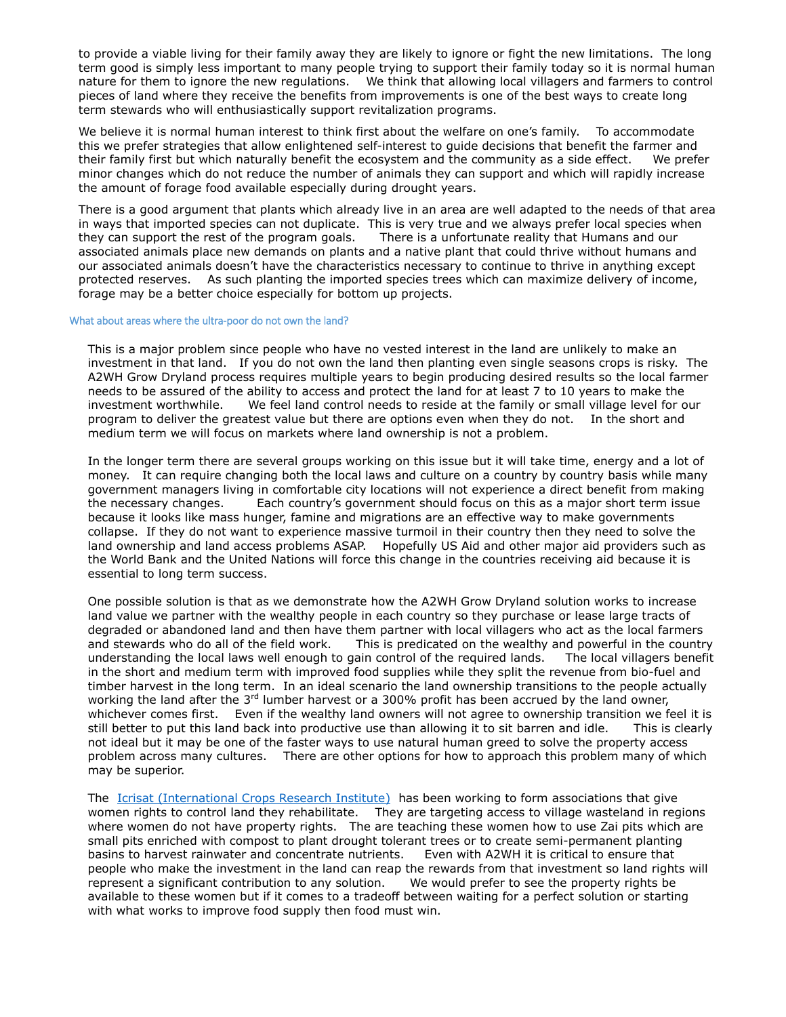to provide a viable living for their family away they are likely to ignore or fight the new limitations. The long term good is simply less important to many people trying to support their family today so it is normal human nature for them to ignore the new regulations. We think that allowing local villagers and farmers to control pieces of land where they receive the benefits from improvements is one of the best ways to create long term stewards who will enthusiastically support revitalization programs.

We believe it is normal human interest to think first about the welfare on one's family. To accommodate this we prefer strategies that allow enlightened self-interest to guide decisions that benefit the farmer and their family first but which naturally benefit the ecosystem and the community as a side effect. We prefer minor changes which do not reduce the number of animals they can support and which will rapidly increase the amount of forage food available especially during drought years.

There is a good argument that plants which already live in an area are well adapted to the needs of that area in ways that imported species can not duplicate. This is very true and we always prefer local species when they can support the rest of the program goals. There is a unfortunate reality that Humans and our associated animals place new demands on plants and a native plant that could thrive without humans and our associated animals doesn't have the characteristics necessary to continue to thrive in anything except protected reserves. As such planting the imported species trees which can maximize delivery of income, forage may be a better choice especially for bottom up projects.

#### What about areas where the ultra-poor do not own the land?

This is a major problem since people who have no vested interest in the land are unlikely to make an investment in that land. If you do not own the land then planting even single seasons crops is risky. The A2WH Grow Dryland process requires multiple years to begin producing desired results so the local farmer needs to be assured of the ability to access and protect the land for at least 7 to 10 years to make the investment worthwhile. We feel land control needs to reside at the family or small village level for our program to deliver the greatest value but there are options even when they do not. In the short and medium term we will focus on markets where land ownership is not a problem.

In the longer term there are several groups working on this issue but it will take time, energy and a lot of money. It can require changing both the local laws and culture on a country by country basis while many government managers living in comfortable city locations will not experience a direct benefit from making the necessary changes. Each country's government should focus on this as a major short term issue because it looks like mass hunger, famine and migrations are an effective way to make governments collapse. If they do not want to experience massive turmoil in their country then they need to solve the land ownership and land access problems ASAP. Hopefully US Aid and other major aid providers such as the World Bank and the United Nations will force this change in the countries receiving aid because it is essential to long term success.

One possible solution is that as we demonstrate how the A2WH Grow Dryland solution works to increase land value we partner with the wealthy people in each country so they purchase or lease large tracts of degraded or abandoned land and then have them partner with local villagers who act as the local farmers and stewards who do all of the field work. This is predicated on the wealthy and powerful in the country understanding the local laws well enough to gain control of the required lands. The local villagers benefit in the short and medium term with improved food supplies while they split the revenue from bio-fuel and timber harvest in the long term. In an ideal scenario the land ownership transitions to the people actually working the land after the 3<sup>rd</sup> lumber harvest or a 300% profit has been accrued by the land owner, whichever comes first. Even if the wealthy land owners will not agree to ownership transition we feel it is still better to put this land back into productive use than allowing it to sit barren and idle. This is clearly not ideal but it may be one of the faster ways to use natural human greed to solve the property access problem across many cultures. There are other options for how to approach this problem many of which may be superior.

The Icrisat [\(International Crops Research Institute\)](http://www.theguardian.com/global-development/poverty-matters/2011/oct/18/fight-against-desertification) has been working to form associations that give women rights to control land they rehabilitate. They are targeting access to village wasteland in regions where women do not have property rights. The are teaching these women how to use Zai pits which are small pits enriched with compost to plant drought tolerant trees or to create semi-permanent planting basins to harvest rainwater and concentrate nutrients. Even with A2WH it is critical to ensure that people who make the investment in the land can reap the rewards from that investment so land rights will represent a significant contribution to any solution. We would prefer to see the property rights be available to these women but if it comes to a tradeoff between waiting for a perfect solution or starting with what works to improve food supply then food must win.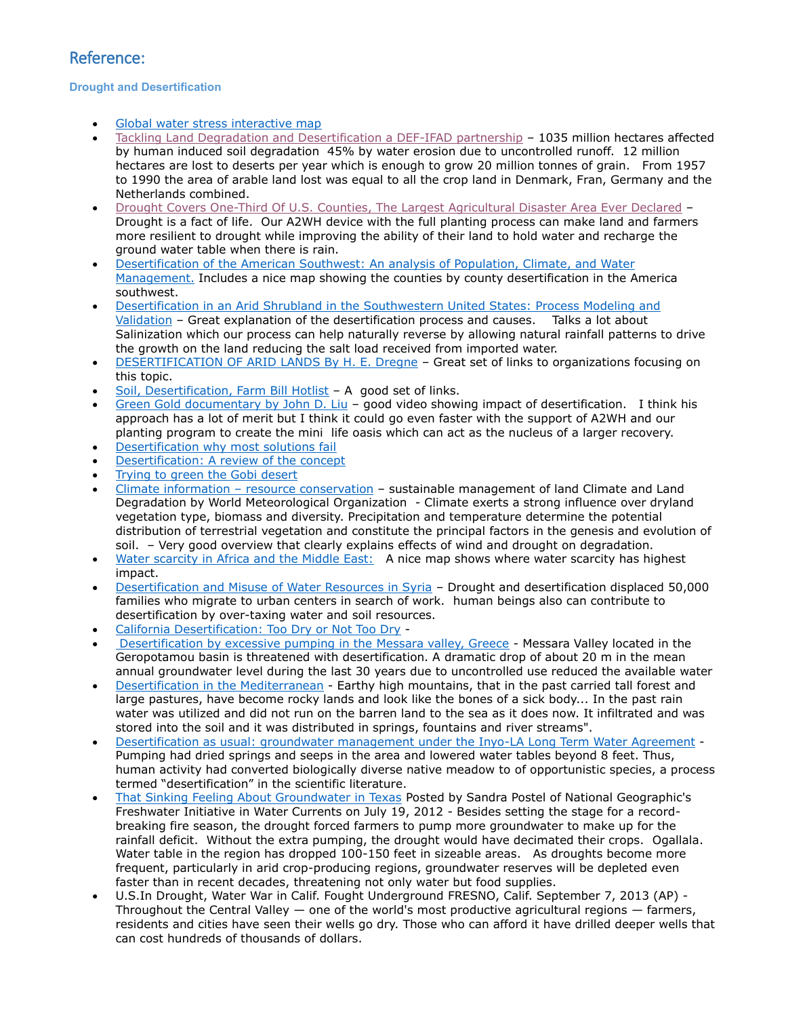# Reference:

## **Drought and Desertification**

- [Global water stress interactive map](http://www.theguardian.com/news/datablog/interactive/2011/jun/27/data-store-water)
- [Tackling Land Degradation and Desertification a DEF-IFAD partnership](http://www.ifad.org/events/wssd/gef/GEF_eng.pdf) 1035 million hectares affected by human induced soil degradation 45% by water erosion due to uncontrolled runoff. 12 million hectares are lost to deserts per year which is enough to grow 20 million tonnes of grain. From 1957 to 1990 the area of arable land lost was equal to all the crop land in Denmark, Fran, Germany and the Netherlands combined.
- [Drought Covers One-Third Of U.S. Counties, The Largest Agricultural Disaster Area Ever Declared](http://theenergycollective.com/josephromm/93011/drought-covers-one-third-us-counties-largest-agricultural-disaster-area-ever-declar) Drought is a fact of life. Our A2WH device with the full planting process can make land and farmers more resilient to drought while improving the ability of their land to hold water and recharge the ground water table when there is rain.
- [Desertification of the American Southwest: An analysis of Population, Climate, and Water](http://www.wpi.edu/Pubs/E-project/Available/E-project-042308-145132/unrestricted/IQPTCC07RyanNickKyle.pdf)  [Management.](http://www.wpi.edu/Pubs/E-project/Available/E-project-042308-145132/unrestricted/IQPTCC07RyanNickKyle.pdf) Includes a nice map showing the counties by county desertification in the America southwest.
- [Desertification in an Arid Shrubland in the Southwestern United States: Process Modeling and](http://www.mojavedata.gov/deserttortoise_gov/documents/copyright_questions/PAP_Desertification_in_an_Arid_Shrubland_in_the_SW_US_Process_Modeling_and_Validation_OkinG_011802.pdf)  [Validation](http://www.mojavedata.gov/deserttortoise_gov/documents/copyright_questions/PAP_Desertification_in_an_Arid_Shrubland_in_the_SW_US_Process_Modeling_and_Validation_OkinG_011802.pdf) – Great explanation of the desertification process and causes. Talks a lot about Salinization which our process can help naturally reverse by allowing natural rainfall patterns to drive the growth on the land reducing the salt load received from imported water.
- [DESERTIFICATION OF ARID LANDS By H. E. Dregne](http://www.ciesin.columbia.edu/docs/002-193/002-193.html) Great set of links to organizations focusing on this topic.
- [Soil, Desertification, Farm Bill Hotlist](http://www.kn.pacbell.com/wired/fil/pages/listwindograja.html) A good set of links.
- [Green Gold documentary by John D. Liu](https://www.youtube.com/watch?v=YBLZmwlPa8A&feature=player_embedded) good video showing impact of desertification. I think his approach has a lot of merit but I think it could go even faster with the support of A2WH and our planting program to create the mini life oasis which can act as the nucleus of a larger recovery.
- [Desertification why most solutions fail](http://managingwholes.com/desertification.htm)
- [Desertification: A review of the concept](http://www.ciesin.org/docs/002-479/002-479.html)
- [Trying to green the Gobi desert](http://worldblog.nbcnews.com/_news/2009/09/03/4376275-trying-to-green-the-growing-gobi-desert?lite)
- Climate information [resource conservation](http://www.wmo.int/pages/themes/wmoprod/documents/WMO989E.pdf) sustainable management of land Climate and Land Degradation by World Meteorological Organization - Climate exerts a strong influence over dryland vegetation type, biomass and diversity. Precipitation and temperature determine the potential distribution of terrestrial vegetation and constitute the principal factors in the genesis and evolution of soil. – Very good overview that clearly explains effects of wind and drought on degradation.
- [Water scarcity in Africa and the Middle East:](http://www.theguardian.com/environment/datablog/2011/jun/28/water-scarcity-africa-middle-east) A nice map shows where water scarcity has highest impact.
- [Desertification and Misuse of Water Resources in Syria](http://www.groundwatergo.com/blog/desertification-and-misuse-of-water-resources-in-syria/) Drought and desertification displaced 50,000 families who migrate to urban centers in search of work. human beings also can contribute to desertification by over-taxing water and soil resources.
- [California Desertification: Too Dry or Not Too Dry](http://dornsife.usc.edu/enst-320a/water-and-soil/?p=239) -
- [Desertification by excessive pumping in the Messara valley, Greece](http://harmonirib.geus.info/xpdf/d7-8_geropotamou_final.pdf) Messara Valley located in the Geropotamou basin is threatened with desertification. A dramatic drop of about 20 m in the mean annual groundwater level during the last 30 years due to uncontrolled use reduced the available water
- [Desertification in the Mediterranean](http://www.isodarco.it/courses/candriai01/paper/candriai01sciortino.html) Earthy high mountains, that in the past carried tall forest and large pastures, have become rocky lands and look like the bones of a sick body... In the past rain water was utilized and did not run on the barren land to the sea as it does now. It infiltrated and was stored into the soil and it was distributed in springs, fountains and river streams".
- Desertification as usual: [groundwater management under the Inyo-LA Long Term Water Agreement](http://www.ovcweb.org/issues/desertification.html) Pumping had dried springs and seeps in the area and lowered water tables beyond 8 feet. Thus, human activity had converted biologically diverse native meadow to of opportunistic species, a process termed "desertification" in the scientific literature.
- [That Sinking Feeling About Groundwater in Texas](http://newswatch.nationalgeographic.com/2012/07/19/that-sinking-feeling-about-groundwater-in-texas/) Posted by Sandra Postel of National Geographic's Freshwater Initiative in Water Currents on July 19, 2012 - Besides setting the stage for a recordbreaking fire season, the drought forced farmers to pump more groundwater to make up for the rainfall deficit. Without the extra pumping, the drought would have decimated their crops. Ogallala. Water table in the region has dropped 100-150 feet in sizeable areas. As droughts become more frequent, particularly in arid crop-producing regions, groundwater reserves will be depleted even faster than in recent decades, threatening not only water but food supplies.
- U.S.In Drought, Water War in Calif. Fought Underground FRESNO, Calif. September 7, 2013 (AP) Throughout the Central Valley  $-$  one of the world's most productive agricultural regions  $-$  farmers, residents and cities have seen their wells go dry. Those who can afford it have drilled deeper wells that can cost hundreds of thousands of dollars.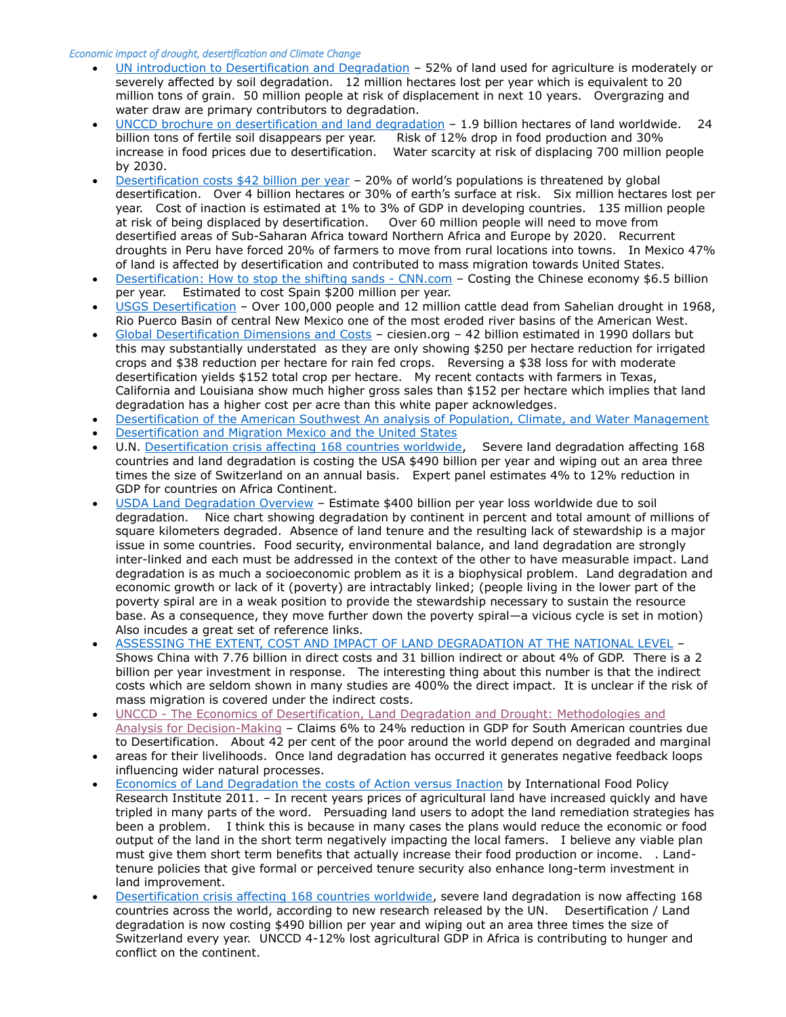#### *Economic impact of drought, desertification and Climate Change*

- [UN introduction to Desertification and Degradation](http://www.un.org/en/events/desertificationday/background.shtml) 52% of land used for agriculture is moderately or severely affected by soil degradation. 12 million hectares lost per year which is equivalent to 20 million tons of grain. 50 million people at risk of displacement in next 10 years. Overgrazing and water draw are primary contributors to degradation.
- UNCCD [brochure on desertification and land degradation](http://www.unccd.int/Lists/SiteDocumentLibrary/WDCD/DLDD%20Facts.pdf) 1.9 billion hectares of land worldwide. 24 billion tons of fertile soil disappears per year. Risk of 12% drop in food production and 30% increase in food prices due to desertification. Water scarcity at risk of displacing 700 million people by 2030.
- [Desertification costs \\$42 billion per year](http://www.mongabay.com/external/desertification_2004.htm) 20% of world's populations is threatened by global desertification. Over 4 billion hectares or 30% of earth's surface at risk. Six million hectares lost per year. Cost of inaction is estimated at 1% to 3% of GDP in developing countries. 135 million people at risk of being displaced by desertification. Over 60 million people will need to move from desertified areas of Sub-Saharan Africa toward Northern Africa and Europe by 2020. Recurrent droughts in Peru have forced 20% of farmers to move from rural locations into towns. In Mexico 47% of land is affected by desertification and contributed to mass migration towards United States.
- [Desertification: How to stop the shifting sands -](http://edition.cnn.com/2008/WORLD/asiapcf/04/25/es.desertification/index.html) CNN.com Costing the Chinese economy \$6.5 billion per year. Estimated to cost Spain \$200 million per year.
- [USGS Desertification](http://pubs.usgs.gov/gip/deserts/desertification/) Over 100,000 people and 12 million cattle dead from Sahelian drought in 1968, Rio Puerco Basin of central New Mexico one of the most eroded river basins of the American West.
- [Global Desertification Dimensions and Costs](http://ciesin.org/docs/002-186/002-186.html) ciesien.org 42 billion estimated in 1990 dollars but this may substantially understated as they are only showing \$250 per hectare reduction for irrigated crops and \$38 reduction per hectare for rain fed crops. Reversing a \$38 loss for with moderate desertification yields \$152 total crop per hectare. My recent contacts with farmers in Texas, California and Louisiana show much higher gross sales than \$152 per hectare which implies that land degradation has a higher cost per acre than this white paper acknowledges.
- [Desertification of the American Southwest An analysis of Population, Climate, and Water Management](http://www.wpi.edu/Pubs/E-project/Available/E-project-042308-145132/unrestricted/IQPTCC07RyanNickKyle.pdf)
- Desertification and Migration [Mexico and the United States](http://www.utexas.edu/lbj/uscir/respapers/dam-f94.pdf)
- U.N. [Desertification crisis affecting 168 countries worldwide,](http://www.theguardian.com/environment/2013/apr/17/desertification) Severe land degradation affecting 168 countries and land degradation is costing the USA \$490 billion per year and wiping out an area three times the size of Switzerland on an annual basis. Expert panel estimates 4% to 12% reduction in GDP for countries on Africa Continent.
- [USDA Land Degradation Overview](http://soils.usda.gov/use/worldsoils/papers/land-degradation-overview.html) Estimate \$400 billion per year loss worldwide due to soil degradation. Nice chart showing degradation by continent in percent and total amount of millions of square kilometers degraded. Absence of land tenure and the resulting lack of stewardship is a major issue in some countries. Food security, environmental balance, and land degradation are strongly inter-linked and each must be addressed in the context of the other to have measurable impact. Land degradation is as much a socioeconomic problem as it is a biophysical problem. Land degradation and economic growth or lack of it (poverty) are intractably linked; (people living in the lower part of the poverty spiral are in a weak position to provide the stewardship necessary to sustain the resource base. As a consequence, they move further down the poverty spiral—a vicious cycle is set in motion) Also incudes a great set of reference links.
- [ASSESSING THE EXTENT, COST AND IMPACT OF LAND DEGRADATION AT THE NATIONAL LEVEL](http://global-mechanism.org/dynamic/documents/document_file/cost-of-land-degradation-case-studies.pdf) Shows China with 7.76 billion in direct costs and 31 billion indirect or about 4% of GDP. There is a 2 billion per year investment in response. The interesting thing about this number is that the indirect costs which are seldom shown in many studies are 400% the direct impact. It is unclear if the risk of mass migration is covered under the indirect costs.
- UNCCD [The Economics of Desertification, Land Degradation and Drought: Methodologies and](http://2sc.unccd.int/fileadmin/unccd/upload/documents/Background_documents/Background_Document_web3.pdf)  [Analysis for Decision-Making](http://2sc.unccd.int/fileadmin/unccd/upload/documents/Background_documents/Background_Document_web3.pdf) – Claims 6% to 24% reduction in GDP for South American countries due to Desertification. About 42 per cent of the poor around the world depend on degraded and marginal
- areas for their livelihoods. Once land degradation has occurred it generates negative feedback loops influencing wider natural processes.
- [Economics of Land Degradation the costs of Action versus Inaction](http://www.ifpri.org/sites/default/files/publications/ib68.pdf) by International Food Policy Research Institute 2011. – In recent years prices of agricultural land have increased quickly and have tripled in many parts of the word. Persuading land users to adopt the land remediation strategies has been a problem. I think this is because in many cases the plans would reduce the economic or food output of the land in the short term negatively impacting the local famers. I believe any viable plan must give them short term benefits that actually increase their food production or income. . Landtenure policies that give formal or perceived tenure security also enhance long-term investment in land improvement.
- [Desertification crisis affecting 168 countries worldwide,](http://www.theguardian.com/environment/2013/apr/17/desertification) severe land degradation is now affecting 168 countries across the world, according to new research released by the UN. Desertification / Land degradation is now costing \$490 billion per year and wiping out an area three times the size of Switzerland every year. UNCCD 4-12% lost agricultural GDP in Africa is contributing to hunger and conflict on the continent.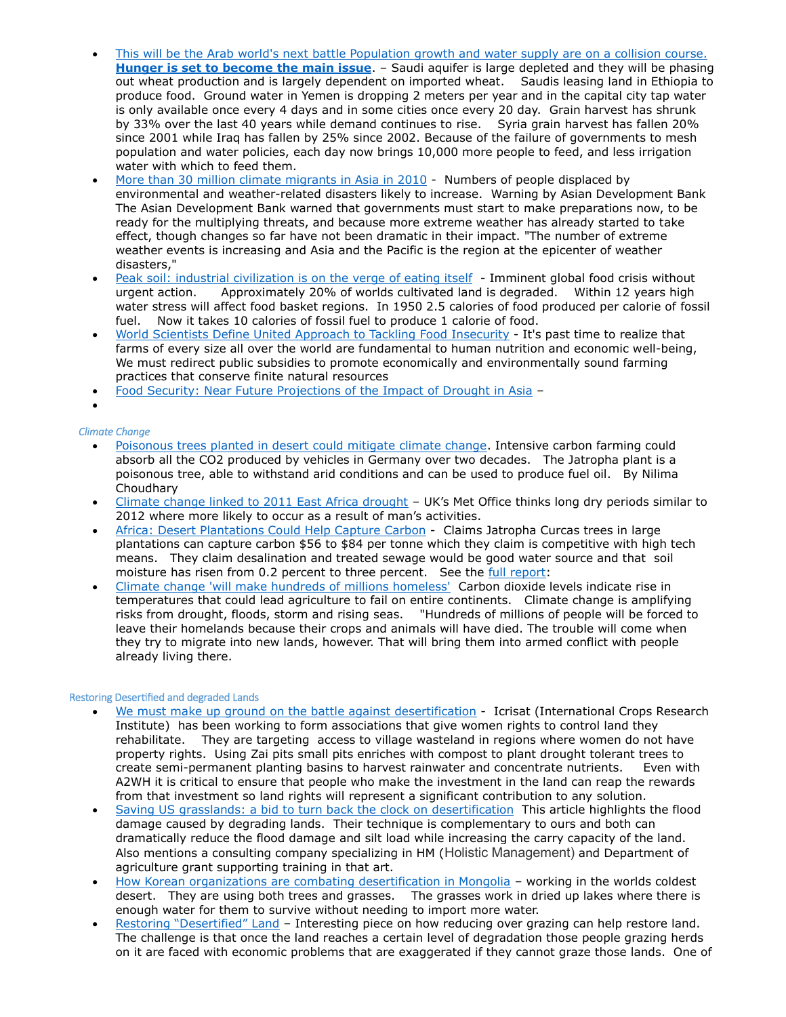- [This will be the Arab world's next battle Population growth and water supply are on a collision course.](http://www.theguardian.com/commentisfree/2011/apr/22/water-the-next-arab-battle)  **[Hunger is set to become the main issue](http://www.theguardian.com/commentisfree/2011/apr/22/water-the-next-arab-battle)**. – Saudi aquifer is large depleted and they will be phasing out wheat production and is largely dependent on imported wheat. Saudis leasing land in Ethiopia to produce food. Ground water in Yemen is dropping 2 meters per year and in the capital city tap water is only available once every 4 days and in some cities once every 20 day. Grain harvest has shrunk by 33% over the last 40 years while demand continues to rise. Syria grain harvest has fallen 20% since 2001 while Iraq has fallen by 25% since 2002. Because of the failure of governments to mesh population and water policies, each day now brings 10,000 more people to feed, and less irrigation water with which to feed them.
- [More than 30 million climate migrants in Asia in 2010](http://www.theguardian.com/environment/2011/sep/19/climate-migrants-asia-2010) Numbers of people displaced by environmental and weather-related disasters likely to increase. Warning by Asian Development Bank The Asian Development Bank warned that governments must start to make preparations now, to be ready for the multiplying threats, and because more extreme weather has already started to take effect, though changes so far have not been dramatic in their impact. "The number of extreme weather events is increasing and Asia and the Pacific is the region at the epicenter of weather disasters,"
- [Peak soil: industrial civilization](http://www.theguardian.com/environment/earth-insight/2013/jun/07/peak-soil-industrial-civilisation-eating-itself) is on the verge of eating itself Imminent global food crisis without urgent action. Approximately 20% of worlds cultivated land is degraded. Within 12 years high water stress will affect food basket regions. In 1950 2.5 calories of food produced per calorie of fossil fuel. Now it takes 10 calories of fossil fuel to produce 1 calorie of food.
- [World Scientists Define United Approach to Tackling Food Insecurity](http://ccafs.cgiar.org/news/commission-sustainable-agriculture-and-climate-change/world-scientists-define-united-approach#.Ui5BNj969jM) It's past time to realize that farms of every size all over the world are fundamental to human nutrition and economic well-being, We must redirect public subsidies to promote economically and environmentally sound farming practices that conserve finite natural resources
- [Food Security: Near Future Projections of the Impact of Drought in Asia](http://www.lowcarbonfutures.org/reports/food-security-near-future-projections-impact-drought-asia) –
- $\bullet$

## *Climate Change*

- [Poisonous trees planted in desert could mitigate climate change.](http://www.rtcc.org/2013/08/02/poisonous-trees-planted-in-desert-could-mitigate-climate-change/#sthash.Wj4Iy602.dpuf) Intensive carbon farming could absorb all the CO2 produced by vehicles in Germany over two decades. The Jatropha plant is a poisonous tree, able to withstand arid conditions and can be used to produce fuel oil. By Nilima Choudhary
- [Climate change linked to 2011 East Africa drought](http://www.rtcc.org/2013/02/21/climate-change-linked-to-2011-east-africa-drought/) UK's Met Office thinks long dry periods similar to 2012 where more likely to occur as a result of man's activities.
- [Africa: Desert Plantations Could Help Capture Carbon](http://allafrica.com/stories/201308261283.html) Claims Jatropha Curcas trees in large plantations can capture carbon \$56 to \$84 per tonne which they claim is competitive with high tech means. They claim desalination and treated sewage would be good water source and that soil moisture has risen from 0.2 percent to three percent. See the [full report:](http://www.earth-syst-dynam.net/4/237/2013/esd-4-237-2013.pdf)
- [Climate change 'will make hundreds of millions homeless'](http://www.theguardian.com/environment/2013/may/12/climate-change-expert-stern-displacement) Carbon dioxide levels indicate rise in temperatures that could lead agriculture to fail on entire continents. Climate change is amplifying risks from drought, floods, storm and rising seas. "Hundreds of millions of people will be forced to leave their homelands because their crops and animals will have died. The trouble will come when they try to migrate into new lands, however. That will bring them into armed conflict with people already living there.

## Restoring Desertified and degraded Lands

- [We must make up ground on the battle against desertification](http://www.theguardian.com/global-development/poverty-matters/2011/oct/18/fight-against-desertification) Icrisat (International Crops Research Institute) has been working to form associations that give women rights to control land they rehabilitate. They are targeting access to village wasteland in regions where women do not have property rights. Using Zai pits small pits enriches with compost to plant drought tolerant trees to create semi-permanent planting basins to harvest rainwater and concentrate nutrients. Even with A2WH it is critical to ensure that people who make the investment in the land can reap the rewards from that investment so land rights will represent a significant contribution to any solution.
- [Saving US grasslands: a bid to turn back the clock](http://www.csmonitor.com/Environment/2011/1024/Saving-US-grasslands-a-bid-to-turn-back-the-clock-on-desertification/(page)/2) on desertification This article highlights the flood damage caused by degrading lands. Their technique is complementary to ours and both can dramatically reduce the flood damage and silt load while increasing the carry capacity of the land. Also mentions a consulting company specializing in HM (Holistic Management) and Department of agriculture grant supporting training in that art.
- [How Korean organizations are combating desertification in Mongolia](http://www.rtcc.org/2012/04/26/how-korean-organisations-are-combating-desertification-in-mongolia/) working in the worlds coldest desert. They are using both trees and grasses. The grasses work in dried up lakes where there is enough water for them to survive without needing to import more water.
- [Restoring "Desertified" Land](http://adask.wordpress.com/2013/04/23/restoring-desertified-land/) Interesting piece on how reducing over grazing can help restore land. The challenge is that once the land reaches a certain level of degradation those people grazing herds on it are faced with economic problems that are exaggerated if they cannot graze those lands. One of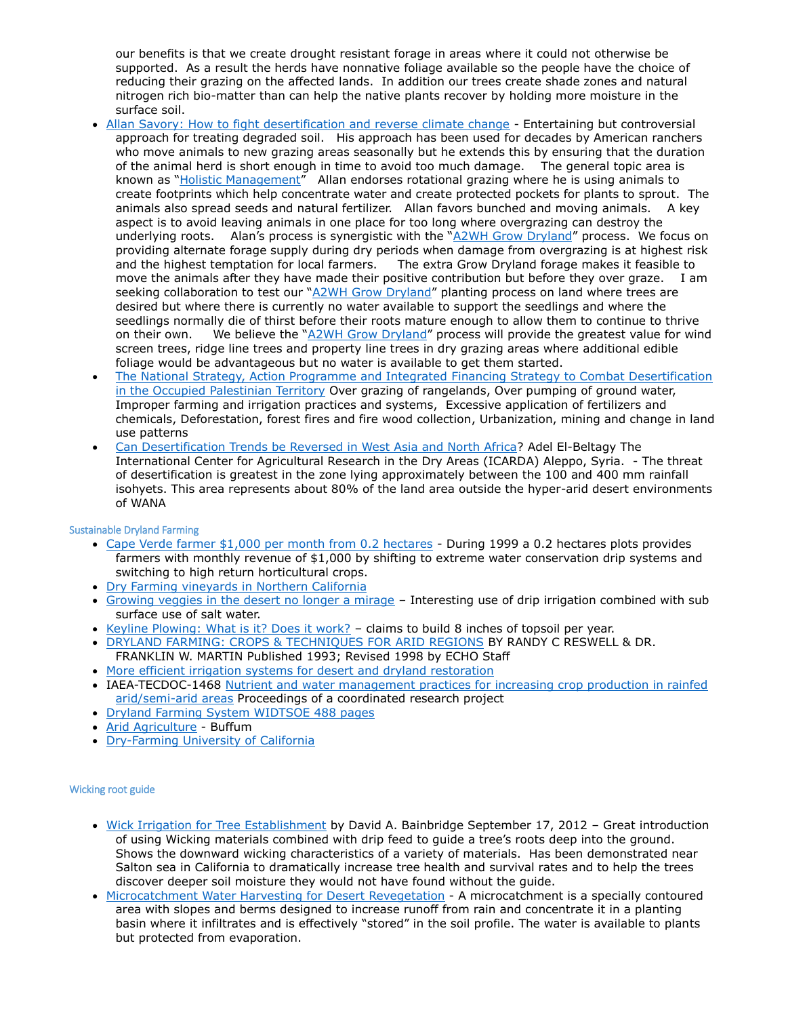our benefits is that we create drought resistant forage in areas where it could not otherwise be supported. As a result the herds have nonnative foliage available so the people have the choice of reducing their grazing on the affected lands. In addition our trees create shade zones and natural nitrogen rich bio-matter than can help the native plants recover by holding more moisture in the surface soil.

- [Allan Savory: How to fight desertification and reverse climate change](http://www.ted.com/talks/allan_savory_how_to_green_the_world_s_deserts_and_reverse_climate_change.html) Entertaining but controversial approach for treating degraded soil. His approach has been used for decades by American ranchers who move animals to new grazing areas seasonally but he extends this by ensuring that the duration of the animal herd is short enough in time to avoid too much damage. The general topic area is known as "[Holistic Management](http://regenag.com/web/courses/holistic-management.html)" Allan endorses rotational grazing where he is using animals to create footprints which help concentrate water and create protected pockets for plants to sprout. The animals also spread seeds and natural fertilizer. Allan favors bunched and moving animals. A key aspect is to avoid leaving animals in one place for too long where overgrazing can destroy the underlying roots. Alan's process is synergistic with the "[A2WH Grow Dryland](http://a2wh.com/overview-A2WH-Grow-Dryland-Planting-Desertification-v2.0.pdf)" process. We focus on providing alternate forage supply during dry periods when damage from overgrazing is at highest risk and the highest temptation for local farmers. The extra Grow Dryland forage makes it feasible to move the animals after they have made their positive contribution but before they over graze. I am seeking collaboration to test our "[A2WH Grow Dryland](http://a2wh.com/index.html)" planting process on land where trees are desired but where there is currently no water available to support the seedlings and where the seedlings normally die of thirst before their roots mature enough to allow them to continue to thrive on their own. We believe the "[A2WH Grow Dryland](http://a2wh.com/overview-A2WH-Grow-Dryland-Planting-Desertification-v2.0.pdf)" process will provide the greatest value for wind screen trees, ridge line trees and property line trees in dry grazing areas where additional edible foliage would be advantageous but no water is available to get them started.
- [The National Strategy, Action Programme and Integrated](http://www.unccd.int/ActionProgrammes/Desertification%20Strategy%20English.pdf) Financing Strategy to Combat Desertification in the [Occupied Palestinian Territory](http://www.unccd.int/ActionProgrammes/Desertification%20Strategy%20English.pdf) Over grazing of rangelands, Over pumping of ground water, Improper farming and irrigation practices and systems, Excessive application of fertilizers and chemicals, Deforestation, forest fires and fire wood collection, Urbanization, mining and change in land use patterns
- [Can Desertification Trends be Reversed in West Asia and North Africa?](http://archive.unu.edu/env/Land/iran-1/07-El%20bletag%20Paper.doc) Adel El-Beltagy The International Center for Agricultural Research in the Dry Areas (ICARDA) Aleppo, Syria. - The threat of desertification is greatest in the zone lying approximately between the 100 and 400 mm rainfall isohyets. This area represents about 80% of the land area outside the hyper-arid desert environments of WANA

## Sustainable Dryland Farming

- [Cape Verde farmer \\$1,000 per month from 0.2 hectares](http://www.fao.org/docrep/005/y3918e/y3918e10.htm) During 1999 a 0.2 hectares plots provides farmers with monthly revenue of \$1,000 by shifting to extreme water conservation drip systems and switching to high return horticultural crops.
- [Dry Farming vineyards in Northern California](http://agwaterstewards.org/index.php/practices/dry_farming/)
- [Growing veggies in the desert no longer a mirage](http://www.dw.de/growing-veggies-in-the-desert-no-longer-a-mirage/a-17032261) Interesting use of drip irrigation combined with sub surface use of salt water.
- [Keyline Plowing: What is it? Does it work?](http://onpasture.com/2013/06/17/keyline-plowing-what-is-it-does-it-work/) claims to build 8 inches of topsoil per year.
- [DRYLAND FARMING: CROPS & TECHNIQUES FOR ARID REGIONS](http://c.ymcdn.com/sites/www.echocommunity.org/resource/collection/E66CDFDB-0A0D-4DDE-8AB1-74D9D8C3EDD4/DrylandFarming.pdf) BY RANDY C RESWELL & DR. FRANKLIN W. MARTIN Published 1993; Revised 1998 by ECHO Staff
- [More efficient irrigation systems for desert and dryland restoration](http://www.zaragoza.es/contenidos/medioambiente/cajaAzul/11S4-P2-JJ_Ramirez_AlmorilACC.pdf)
- IAEA-TECDOC-1468 [Nutrient and water management practices for increasing crop production in rainfed](http://www-pub.iaea.org/MTCD/publications/PDF/te_1468_web.pdf)  [arid/semi-arid areas](http://www-pub.iaea.org/MTCD/publications/PDF/te_1468_web.pdf) Proceedings of a coordinated research project
- [Dryland Farming System WIDTSOE](http://ia600404.us.archive.org/33/items/dryfarmingsystem00widtuoft/dryfarmingsystem00widtuoft.pdf) 488 pages
- [Arid Agriculture](http://ia700200.us.archive.org/12/items/aridagricultureh00buffrich/aridagricultureh00buffrich.pdf) Buffum
- [Dry-Farming University of California](http://ia600208.us.archive.org/18/items/dryfarmingpriples00macdrich/dryfarmingpriples00macdrich.pdf)

#### Wicking root guide

- [Wick Irrigation for Tree Establishment](http://agroforestry.net/overstory/overstory249.html) by David A. Bainbridge September 17, 2012 Great introduction of using Wicking materials combined with drip feed to guide a tree's roots deep into the ground. Shows the downward wicking characteristics of a variety of materials. Has been demonstrated near Salton sea in California to dramatically increase tree health and survival rates and to help the trees discover deeper soil moisture they would not have found without the guide.
- [Microcatchment Water Harvesting for Desert Revegetation](http://www.sci.sdsu.edu/SERG/techniques/microcatch.pdf) A microcatchment is a specially contoured area with slopes and berms designed to increase runoff from rain and concentrate it in a planting basin where it infiltrates and is effectively "stored" in the soil profile. The water is available to plants but protected from evaporation.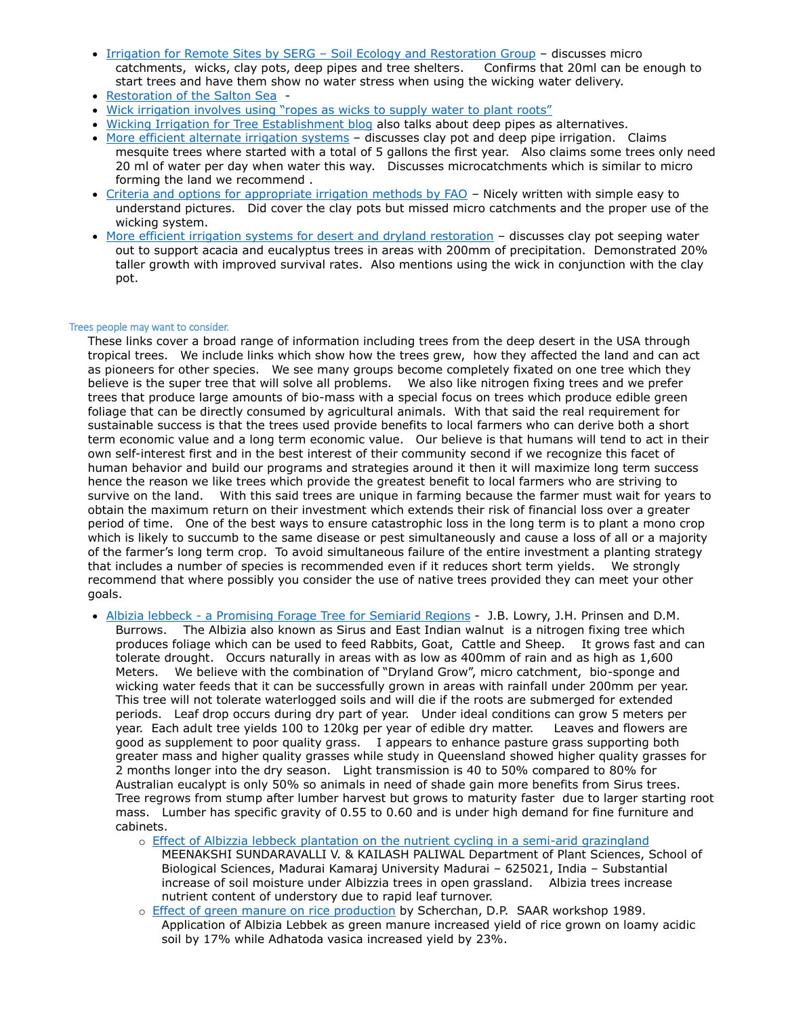- [Irrigation for Remote Sites by SERG](http://www.sci.sdsu.edu/SERG/techniques/Irrigation.pdf)  Soil Ecology and Restoration Group discusses micro catchments, wicks, clay pots, deep pipes and tree shelters. Confirms that 20ml can be enough to start trees and have them show no water stress when using the wicking water delivery.
- [Restoration of the Salton Sea](http://www.usbr.gov/lc/region/saltnsea/finalreport/Vol1/App1A.pdf) -
- [Wick irrigation involves using "ropes as wicks to supply water to plant roots"](http://permaculture.rickpickett.com/post/21464121134/simple-wick-irrigation-system-for-watering-in-dry-or-for)
- [Wicking Irrigation for Tree Establishment blog](http://www.permies.com/t/22657/desert/Wicking-Irrigation-Tree-Establishment) also talks about deep pipes as alternatives.
- [More efficient alternate irrigation systems](http://theconstructor.org/water-resources/more-efficient-alternate-irrigation-systems/254/) discusses clay pot and deep pipe irrigation. Claims mesquite trees where started with a total of 5 gallons the first year. Also claims some trees only need 20 ml of water per day when water this way. Discusses microcatchments which is similar to micro forming the land we recommend .
- [Criteria and options for appropriate irrigation methods by FAO](http://www.fao.org/docrep/W3094E/w3094e05.htm) Nicely written with simple easy to understand pictures. Did cover the clay pots but missed micro catchments and the proper use of the wicking system.
- [More efficient irrigation systems for desert and dryland restoration](http://www.zaragoza.es/contenidos/medioambiente/cajaAzul/11S4-P2-JJ_Ramirez_AlmorilACC.pdf) discusses clay pot seeping water out to support acacia and eucalyptus trees in areas with 200mm of precipitation. Demonstrated 20% taller growth with improved survival rates. Also mentions using the wick in conjunction with the clay pot.

#### Trees people may want to consider.

These links cover a broad range of information including trees from the deep desert in the USA through tropical trees. We include links which show how the trees grew, how they affected the land and can act as pioneers for other species. We see many groups become completely fixated on one tree which they believe is the super tree that will solve all problems. We also like nitrogen fixing trees and we prefer trees that produce large amounts of bio-mass with a special focus on trees which produce edible green foliage that can be directly consumed by agricultural animals. With that said the real requirement for sustainable success is that the trees used provide benefits to local farmers who can derive both a short term economic value and a long term economic value. Our believe is that humans will tend to act in their own self-interest first and in the best interest of their community second if we recognize this facet of human behavior and build our programs and strategies around it then it will maximize long term success hence the reason we like trees which provide the greatest benefit to local farmers who are striving to survive on the land. With this said trees are unique in farming because the farmer must wait for years to obtain the maximum return on their investment which extends their risk of financial loss over a greater period of time. One of the best ways to ensure catastrophic loss in the long term is to plant a mono crop which is likely to succumb to the same disease or pest simultaneously and cause a loss of all or a majority of the farmer's long term crop. To avoid simultaneous failure of the entire investment a planting strategy that includes a number of species is recommended even if it reduces short term yields. We strongly recommend that where possibly you consider the use of native trees provided they can meet your other goals.

- Albizia lebbeck [a Promising Forage Tree for Semiarid Regions](http://www.fao.org/ag/AGP/AGPC/doc/publicat/gutt-shel/x5556e0a.htm) J.B. Lowry, J.H. Prinsen and D.M. Burrows. The Albizia also known as Sirus and East Indian walnut is a nitrogen fixing tree which produces foliage which can be used to feed Rabbits, Goat, Cattle and Sheep. It grows fast and can tolerate drought. Occurs naturally in areas with as low as 400mm of rain and as high as 1,600 Meters. We believe with the combination of "Dryland Grow", micro catchment, bio-sponge and wicking water feeds that it can be successfully grown in areas with rainfall under 200mm per year. This tree will not tolerate waterlogged soils and will die if the roots are submerged for extended periods. Leaf drop occurs during dry part of year. Under ideal conditions can grow 5 meters per year. Each adult tree yields 100 to 120kg per year of edible dry matter. Leaves and flowers are good as supplement to poor quality grass. I appears to enhance pasture grass supporting both greater mass and higher quality grasses while study in Queensland showed higher quality grasses for 2 months longer into the dry season. Light transmission is 40 to 50% compared to 80% for Australian eucalypt is only 50% so animals in need of shade gain more benefits from Sirus trees. Tree regrows from stump after lumber harvest but grows to maturity faster due to larger starting root mass. Lumber has specific gravity of 0.55 to 0.60 and is under high demand for fine furniture and cabinets.
	- o [Effect of Albizzia lebbeck plantation on the nutrient cycling in a semi-arid grazingland](http://www.tropecol.com/pdf/open/PDF_43_2/43209.pdf)
		- MEENAKSHI SUNDARAVALLI V. & KAILASH PALIWAL Department of Plant Sciences, School of Biological Sciences, Madurai Kamaraj University Madurai – 625021, India – Substantial increase of soil moisture under Albizzia trees in open grassland. Albizia trees increase nutrient content of understory due to rapid leaf turnover.
	- o **[Effect of green manure on rice production](http://www.cabdirect.org/abstracts/19900733200.html;jsessionid=2BA661FA9B5B6E606F9CFD9D364A594E) by Scherchan, D.P. SAAR workshop 1989.** Application of Albizia Lebbek as green manure increased yield of rice grown on loamy acidic soil by 17% while Adhatoda vasica increased yield by 23%.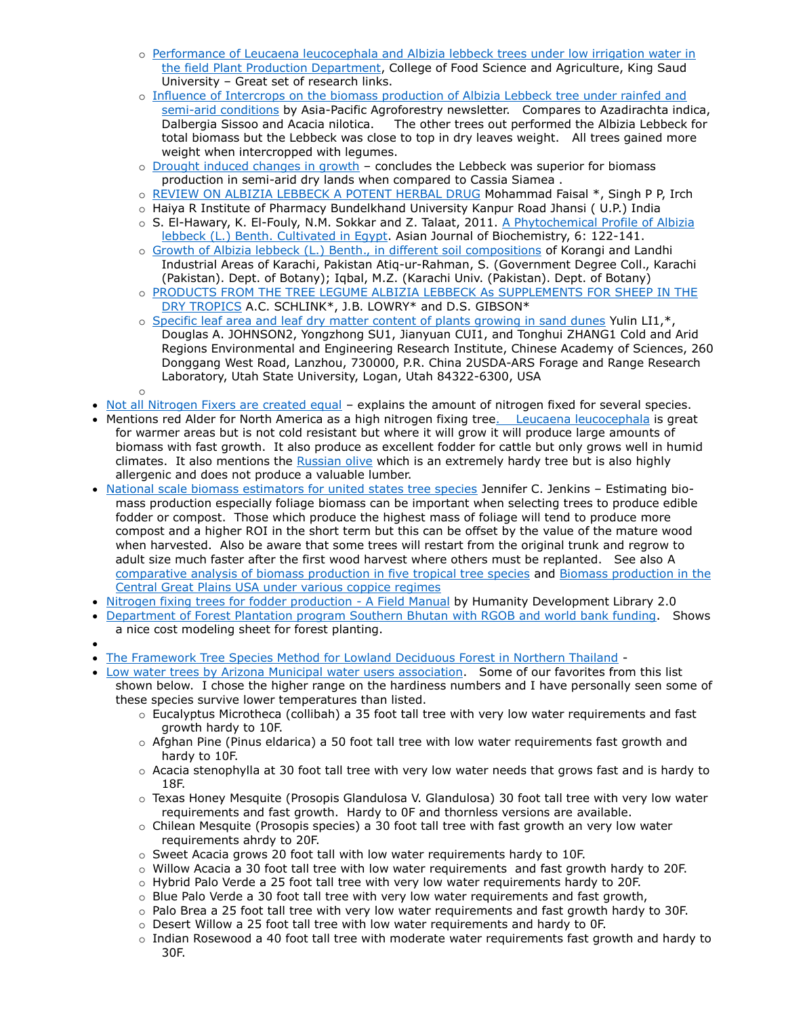- o Performance of Leucaena leucocephala and Albizia lebbeck trees under low irrigation water in [the field Plant Production Department,](http://faculty.ksu.edu.sa/Aref/Documents/Irrigation%202%20sp.pdf) College of Food Science and Agriculture, King Saud University – Great set of research links.
- o [Influence of Intercrops on the biomass production of Albizia Lebbeck tree under rainfed and](http://www.fao.org/docrep/017/an006e/an006e00.pdf)  [semi-arid conditions](http://www.fao.org/docrep/017/an006e/an006e00.pdf) by Asia-Pacific Agroforestry newsletter. Compares to Azadirachta indica, Dalbergia Sissoo and Acacia nilotica. The other trees out performed the Albizia Lebbeck for total biomass but the Lebbeck was close to top in dry leaves weight. All trees gained more weight when intercropped with legumes.
- o Drought [induced changes in growth](http://www.ncbi.nlm.nih.gov/pubmed/21882651) concludes the Lebbeck was superior for biomass production in semi-arid dry lands when compared to Cassia Siamea .
- o [REVIEW ON ALBIZIA LEBBECK A POTENT HERBAL DRUG](http://www.irjponline.com/admin/php/uploads/1069_pdf.pdf) Mohammad Faisal \*, Singh P P, Irch
- o Haiya R Institute of Pharmacy Bundelkhand University Kanpur Road Jhansi ( U.P.) India
- o S. El-Hawary, K. El-Fouly, N.M. Sokkar and Z. Talaat, 2011. [A Phytochemical Profile of Albizia](http://scialert.net/fulltext/?doi=ajb.2011.122.141&org=10)  [lebbeck \(L.\) Benth. Cultivated in Egypt.](http://scialert.net/fulltext/?doi=ajb.2011.122.141&org=10) Asian Journal of Biochemistry, 6: 122-141.
- o [Growth of Albizia lebbeck \(L.\) Benth., in different soil compositions](http://agris.fao.org/agris-search/search/display.do?f=2013%2FPK%2FPK1301.xml%3BPK2012001297) of Korangi and Landhi Industrial Areas of Karachi, Pakistan Atiq-ur-Rahman, S. (Government Degree Coll., Karachi (Pakistan). Dept. of Botany); Iqbal, M.Z. (Karachi Univ. (Pakistan). Dept. of Botany)
- o [PRODUCTS FROM THE TREE LEGUME ALBIZIA LEBBECK As SUPPLEMENTS FOR SHEEP IN THE](http://www.livestocklibrary.com.au/bitstream/handle/1234/8185/Schlink90a.PDF?sequence=1)  [DRY TROPICS](http://www.livestocklibrary.com.au/bitstream/handle/1234/8185/Schlink90a.PDF?sequence=1) A.C. SCHLINK\*, J.B. LOWRY\* and D.S. GIBSON\*
- o [Specific leaf area and leaf dry matter content of plants growing in sand dunes](http://ejournal.sinica.edu.tw/bbas/content/2005/2/Bot462-05.html) Yulin LI1,\*, Douglas A. JOHNSON2, Yongzhong SU1, Jianyuan CUI1, and Tonghui ZHANG1 Cold and Arid Regions Environmental and Engineering Research Institute, Chinese Academy of Sciences, 260 Donggang West Road, Lanzhou, 730000, P.R. China 2USDA-ARS Forage and Range Research Laboratory, Utah State University, Logan, Utah 84322-6300, USA
- 

o

- [Not all Nitrogen Fixers are created equal](http://www.perennialsolutions.org/all-nitrogen-fixers-are-not-created-equal) explains the amount of nitrogen fixed for several species.
- Mentions red Alder for North America as a high nitrogen fixing tre[e. Leucaena leucocephala](http://www.worldagroforestrycentre.org/SEA/Products/AFDbases/AF/asp/SpeciesInfo.asp?SpID=1069) is great for warmer areas but is not cold resistant but where it will grow it will produce large amounts of biomass with fast growth. It also produce as excellent fodder for cattle but only grows well in humid climates. It also mentions the [Russian olive](http://en.wikipedia.org/wiki/Elaeagnus_angustifolia) which is an extremely hardy tree but is also highly allergenic and does not produce a valuable lumber.
- [National scale biomass estimators for united states tree species](http://biology.kenyon.edu/courses/biol229/jenkins_2003.pdf) Jennifer C. Jenkins Estimating biomass production especially foliage biomass can be important when selecting trees to produce edible fodder or compost. Those which produce the highest mass of foliage will tend to produce more compost and a higher ROI in the short term but this can be offset by the value of the mature wood when harvested. Also be aware that some trees will restart from the original trunk and regrow to adult size much faster after the first wood harvest where others must be replanted. See also A [comparative analysis of biomass production in five tropical tree species](http://www.sciencedirect.com/science/article/pii/0378112790901588) and [Biomass production in the](http://www.gpsaf.unl.edu/gppubs/coppice%20article%20biomass%20bioenergy.pdf)  [Central Great Plains USA under various coppice regimes](http://www.gpsaf.unl.edu/gppubs/coppice%20article%20biomass%20bioenergy.pdf)
- [Nitrogen fixing trees for fodder production -](http://www.nzdl.org/gsdlmod?e=d-00000-00---off-0hdl--00-0----0-10-0---0---0direct-10---4-------0-0l--11-en-50---20-about---00-0-1-00-0-0-11-1-0utfZz-8-00&cl=CL3.58&d=HASH01668dce78e9c9f8dedad54e.9.4&gc=1) A Field Manual by Humanity Development Library 2.0
- [Department of Forest Plantation program Southern Bhutan with RGOB and world bank funding.](http://www.moaf.gov.bt/moaf/?wpfb_dl=129) Shows a nice cost modeling sheet for forest planting.
- $\bullet$
- [The Framework Tree Species Method for Lowland Deciduous Forest in Northern Thailand](http://www.forru.org/FORRUEng_Website/Pages/englowlandforest.htm) -
- [Low water trees by Arizona Municipal water users association.](http://www.amwua.org/trees.html) Some of our favorites from this list shown below. I chose the higher range on the hardiness numbers and I have personally seen some of these species survive lower temperatures than listed.
	- o Eucalyptus Microtheca (collibah) a 35 foot tall tree with very low water requirements and fast growth hardy to 10F.
	- $\circ$  Afghan Pine (Pinus eldarica) a 50 foot tall tree with low water requirements fast growth and hardy to 10F.
	- $\circ$  Acacia stenophylla at 30 foot tall tree with very low water needs that grows fast and is hardy to 18F.
	- o Texas Honey Mesquite (Prosopis Glandulosa V. Glandulosa) 30 foot tall tree with very low water requirements and fast growth. Hardy to 0F and thornless versions are available.
	- o Chilean Mesquite (Prosopis species) a 30 foot tall tree with fast growth an very low water requirements ahrdy to 20F.
	- o Sweet Acacia grows 20 foot tall with low water requirements hardy to 10F.
	- $\circ$  Willow Acacia a 30 foot tall tree with low water requirements and fast growth hardy to 20F.
	- $\circ$  Hybrid Palo Verde a 25 foot tall tree with very low water requirements hardy to 20F.
	- o Blue Palo Verde a 30 foot tall tree with very low water requirements and fast growth,
	- $\circ$  Palo Brea a 25 foot tall tree with very low water requirements and fast growth hardy to 30F.
	- o Desert Willow a 25 foot tall tree with low water requirements and hardy to 0F.
	- $\circ$  Indian Rosewood a 40 foot tall tree with moderate water requirements fast growth and hardy to 30F.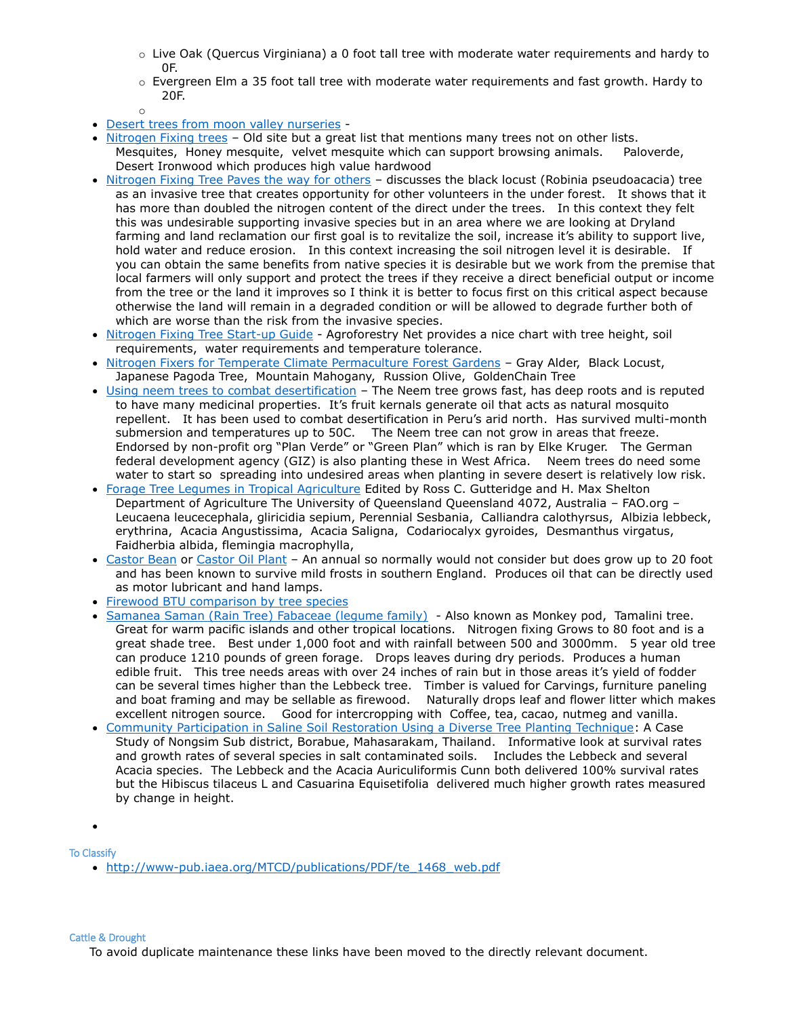- $\circ$  Live Oak (Quercus Virginiana) a 0 foot tall tree with moderate water requirements and hardy to 0F.
- $\circ$  Evergreen Elm a 35 foot tall tree with moderate water requirements and fast growth. Hardy to 20F.
- o
- [Desert trees from moon valley nurseries](http://www.moonvalleynurseries.com/desert-trees.html) -
- [Nitrogen Fixing trees](http://archive.bio.ed.ac.uk/jdeacon/desbiome/nitrofix.htm) Old site but a great list that mentions many trees not on other lists. Mesquites, Honey mesquite, velvet mesquite which can support browsing animals. Paloverde, Desert Ironwood which produces high value hardwood
- [Nitrogen Fixing Tree Paves the way for others](file:///C:/joe/05-01-2008/desicant-based/air-to-water/V4%20-%20plant/conservationmagazine.org/2008/07/nitrogen-fixing-tree-paves-the-way-for-other-invaders/) discusses the black locust (Robinia pseudoacacia) tree as an invasive tree that creates opportunity for other volunteers in the under forest. It shows that it has more than doubled the nitrogen content of the direct under the trees. In this context they felt this was undesirable supporting invasive species but in an area where we are looking at Dryland farming and land reclamation our first goal is to revitalize the soil, increase it's ability to support live, hold water and reduce erosion. In this context increasing the soil nitrogen level it is desirable. If you can obtain the same benefits from native species it is desirable but we work from the premise that local farmers will only support and protect the trees if they receive a direct beneficial output or income from the tree or the land it improves so I think it is better to focus first on this critical aspect because otherwise the land will remain in a degraded condition or will be allowed to degrade further both of which are worse than the risk from the invasive species.
- [Nitrogen Fixing Tree Start-up Guide](http://agroforestry.net/pubs/nftguide.pdf) Agroforestry Net provides a nice chart with tree height, soil requirements, water requirements and temperature tolerance.
- [Nitrogen Fixers for Temperate Climate Permaculture Forest Gardens](http://tcpermaculture.blogspot.com/2011/05/plants-nitrogen-fixers.html?m=1) Gray Alder, Black Locust, Japanese Pagoda Tree, Mountain Mahogany, Russion Olive, GoldenChain Tree
- [Using neem trees to combat desertification](http://www.dw.de/using-neem-trees-to-combat-desertification/a-17016776) The Neem tree grows fast, has deep roots and is reputed to have many medicinal properties. It's fruit kernals generate oil that acts as natural mosquito repellent. It has been used to combat desertification in Peru's arid north. Has survived multi-month submersion and temperatures up to 50C. The Neem tree can not grow in areas that freeze. Endorsed by non-profit org "Plan Verde" or "Green Plan" which is ran by Elke Kruger. The German federal development agency (GIZ) is also planting these in West Africa. Neem trees do need some water to start so spreading into undesired areas when planting in severe desert is relatively low risk.
- [Forage Tree Legumes in Tropical Agriculture](http://www.fao.org/ag/AGP/AGPC/doc/Publicat/Gutt-shel/x5556e00.htm#Contents) Edited by Ross C. Gutteridge and H. Max Shelton Department of Agriculture The University of Queensland Queensland 4072, Australia – FAO.org – Leucaena leucecephala, gliricidia sepium, Perennial Sesbania, Calliandra calothyrsus, Albizia lebbeck, erythrina, Acacia Angustissima, Acacia Saligna, Codariocalyx gyroides, Desmanthus virgatus, Faidherbia albida, flemingia macrophylla,
- [Castor Bean](http://www.bhg.com/gardening/plant-dictionary/annual/castor-bean/) or [Castor Oil Plant](http://en.wikipedia.org/wiki/Castor_oil_plant) An annual so normally would not consider but does grow up to 20 foot and has been known to survive mild frosts in southern England. Produces oil that can be directly used as motor lubricant and hand lamps.
- [Firewood BTU comparison by tree species](http://www.chimneysweeponline.com/howood.htm)
- [Samanea Saman \(Rain Tree\) Fabaceae \(legume family\)](http://www.agroforestry.net/tti/Samanea-raintree.pdf)  Also known as Monkey pod, Tamalini tree. Great for warm pacific islands and other tropical locations. Nitrogen fixing Grows to 80 foot and is a great shade tree. Best under 1,000 foot and with rainfall between 500 and 3000mm. 5 year old tree can produce 1210 pounds of green forage. Drops leaves during dry periods. Produces a human edible fruit. This tree needs areas with over 24 inches of rain but in those areas it's yield of fodder can be several times higher than the Lebbeck tree. Timber is valued for Carvings, furniture paneling and boat framing and may be sellable as firewood. Naturally drops leaf and flower litter which makes excellent nitrogen source. Good for intercropping with Coffee, tea, cacao, nutmeg and vanilla.
- [Community Participation in Saline Soil Restoration Using a Diverse Tree Planting Technique:](http://iserd.net/ijerd31/31114.pdf) A Case Study of Nongsim Sub district, Borabue, Mahasarakam, Thailand. Informative look at survival rates and growth rates of several species in salt contaminated soils. Includes the Lebbeck and several Acacia species. The Lebbeck and the Acacia Auriculiformis Cunn both delivered 100% survival rates but the Hibiscus tilaceus L and Casuarina Equisetifolia delivered much higher growth rates measured by change in height.

 $\bullet$ 

To Classify

• [http://www-pub.iaea.org/MTCD/publications/PDF/te\\_1468\\_web.pdf](http://www-pub.iaea.org/MTCD/publications/PDF/te_1468_web.pdf)

#### Cattle & Drought

To avoid duplicate maintenance these links have been moved to the directly relevant document.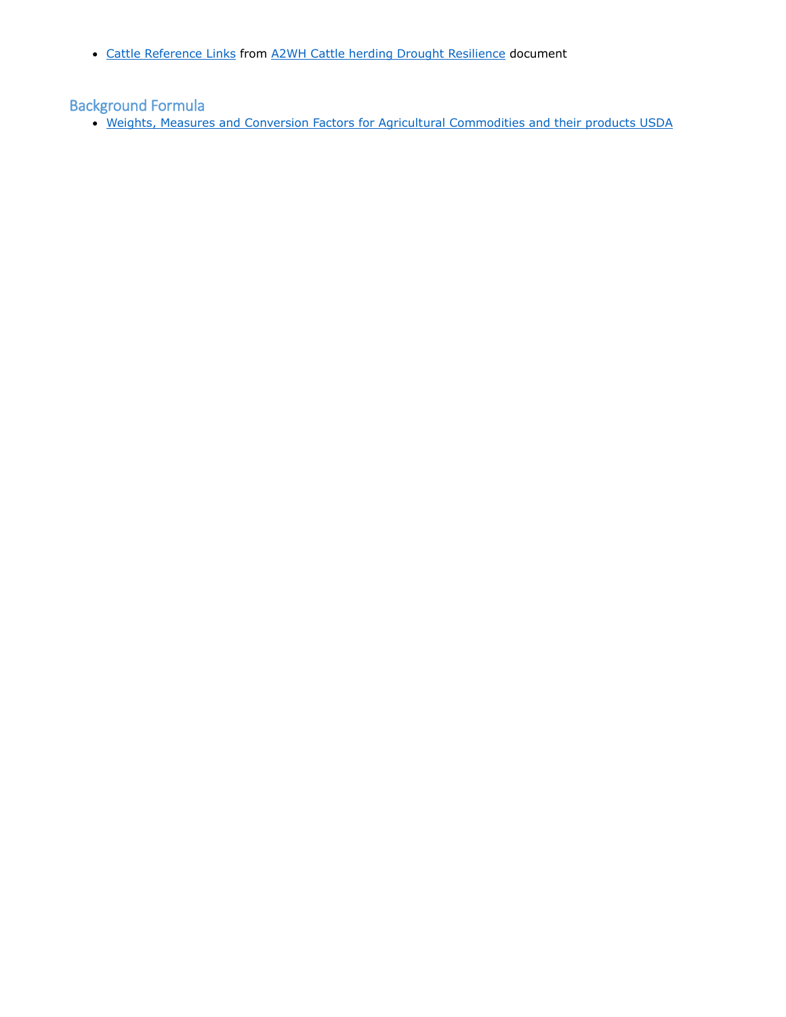• [Cattle Reference Links](http://a2wh.com/cattle-herding-drought-resiliance.html#cattle_reference_links) from [A2WH Cattle herding Drought Resilience](http://a2wh.com/cattle-herding-drought-resiliance.html) document

# Background Formula

[Weights, Measures and Conversion Factors for Agricultural Commodities and their products USDA](http://www.ers.usda.gov/media/935958/ah697_002.pdf)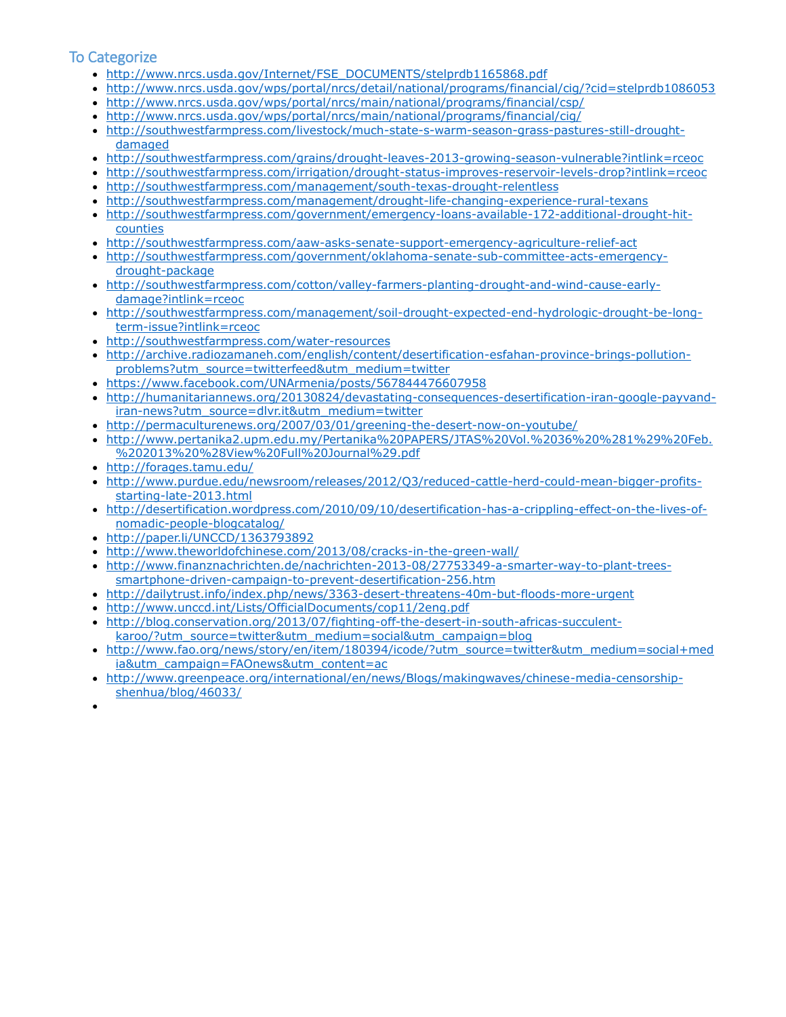# To Categorize

- [http://www.nrcs.usda.gov/Internet/FSE\\_DOCUMENTS/stelprdb1165868.pdf](http://www.nrcs.usda.gov/Internet/FSE_DOCUMENTS/stelprdb1165868.pdf)
- <http://www.nrcs.usda.gov/wps/portal/nrcs/detail/national/programs/financial/cig/?cid=stelprdb1086053>
- <http://www.nrcs.usda.gov/wps/portal/nrcs/main/national/programs/financial/csp/>
- <http://www.nrcs.usda.gov/wps/portal/nrcs/main/national/programs/financial/cig/>
- [http://southwestfarmpress.com/livestock/much-state-s-warm-season-grass-pastures-still-drought](http://southwestfarmpress.com/livestock/much-state-s-warm-season-grass-pastures-still-drought-damaged)[damaged](http://southwestfarmpress.com/livestock/much-state-s-warm-season-grass-pastures-still-drought-damaged)
- <http://southwestfarmpress.com/grains/drought-leaves-2013-growing-season-vulnerable?intlink=rceoc>
- <http://southwestfarmpress.com/irrigation/drought-status-improves-reservoir-levels-drop?intlink=rceoc>
- <http://southwestfarmpress.com/management/south-texas-drought-relentless>
- <http://southwestfarmpress.com/management/drought-life-changing-experience-rural-texans>
- [http://southwestfarmpress.com/government/emergency-loans-available-172-additional-drought-hit](http://southwestfarmpress.com/government/emergency-loans-available-172-additional-drought-hit-counties)[counties](http://southwestfarmpress.com/government/emergency-loans-available-172-additional-drought-hit-counties)
- <http://southwestfarmpress.com/aaw-asks-senate-support-emergency-agriculture-relief-act>
- [http://southwestfarmpress.com/government/oklahoma-senate-sub-committee-acts-emergency](http://southwestfarmpress.com/government/oklahoma-senate-sub-committee-acts-emergency-drought-package)[drought-package](http://southwestfarmpress.com/government/oklahoma-senate-sub-committee-acts-emergency-drought-package)
- [http://southwestfarmpress.com/cotton/valley-farmers-planting-drought-and-wind-cause-early](http://southwestfarmpress.com/cotton/valley-farmers-planting-drought-and-wind-cause-early-damage?intlink=rceoc)[damage?intlink=rceoc](http://southwestfarmpress.com/cotton/valley-farmers-planting-drought-and-wind-cause-early-damage?intlink=rceoc)
- [http://southwestfarmpress.com/management/soil-drought-expected-end-hydrologic-drought-be-long](http://southwestfarmpress.com/management/soil-drought-expected-end-hydrologic-drought-be-long-term-issue?intlink=rceoc)[term-issue?intlink=rceoc](http://southwestfarmpress.com/management/soil-drought-expected-end-hydrologic-drought-be-long-term-issue?intlink=rceoc)
- <http://southwestfarmpress.com/water-resources>
- [http://archive.radiozamaneh.com/english/content/desertification-esfahan-province-brings-pollution](http://archive.radiozamaneh.com/english/content/desertification-esfahan-province-brings-pollution-problems?utm_source=twitterfeed&utm_medium=twitter)[problems?utm\\_source=twitterfeed&utm\\_medium=twitter](http://archive.radiozamaneh.com/english/content/desertification-esfahan-province-brings-pollution-problems?utm_source=twitterfeed&utm_medium=twitter)
- <https://www.facebook.com/UNArmenia/posts/567844476607958>
- [http://humanitariannews.org/20130824/devastating-consequences-desertification-iran-google-payvand](http://humanitariannews.org/20130824/devastating-consequences-desertification-iran-google-payvand-iran-news?utm_source=dlvr.it&utm_medium=twitter)[iran-news?utm\\_source=dlvr.it&utm\\_medium=twitter](http://humanitariannews.org/20130824/devastating-consequences-desertification-iran-google-payvand-iran-news?utm_source=dlvr.it&utm_medium=twitter)
- <http://permaculturenews.org/2007/03/01/greening-the-desert-now-on-youtube/>
- [http://www.pertanika2.upm.edu.my/Pertanika%20PAPERS/JTAS%20Vol.%2036%20%281%29%20Feb.](http://www.pertanika2.upm.edu.my/Pertanika%20PAPERS/JTAS%20Vol.%2036%20%281%29%20Feb.%202013%20%28View%20Full%20Journal%29.pdf) [%202013%20%28View%20Full%20Journal%29.pdf](http://www.pertanika2.upm.edu.my/Pertanika%20PAPERS/JTAS%20Vol.%2036%20%281%29%20Feb.%202013%20%28View%20Full%20Journal%29.pdf)
- <http://forages.tamu.edu/>
- [http://www.purdue.edu/newsroom/releases/2012/Q3/reduced-cattle-herd-could-mean-bigger-profits](http://www.purdue.edu/newsroom/releases/2012/Q3/reduced-cattle-herd-could-mean-bigger-profits-starting-late-2013.html)[starting-late-2013.html](http://www.purdue.edu/newsroom/releases/2012/Q3/reduced-cattle-herd-could-mean-bigger-profits-starting-late-2013.html)
- [http://desertification.wordpress.com/2010/09/10/desertification-has-a-crippling-effect-on-the-lives-of](http://desertification.wordpress.com/2010/09/10/desertification-has-a-crippling-effect-on-the-lives-of-nomadic-people-blogcatalog/)[nomadic-people-blogcatalog/](http://desertification.wordpress.com/2010/09/10/desertification-has-a-crippling-effect-on-the-lives-of-nomadic-people-blogcatalog/)
- <http://paper.li/UNCCD/1363793892>
- <http://www.theworldofchinese.com/2013/08/cracks-in-the-green-wall/>
- [http://www.finanznachrichten.de/nachrichten-2013-08/27753349-a-smarter-way-to-plant-trees](http://www.finanznachrichten.de/nachrichten-2013-08/27753349-a-smarter-way-to-plant-trees-smartphone-driven-campaign-to-prevent-desertification-256.htm)[smartphone-driven-campaign-to-prevent-desertification-256.htm](http://www.finanznachrichten.de/nachrichten-2013-08/27753349-a-smarter-way-to-plant-trees-smartphone-driven-campaign-to-prevent-desertification-256.htm)
- <http://dailytrust.info/index.php/news/3363-desert-threatens-40m-but-floods-more-urgent>
- <http://www.unccd.int/Lists/OfficialDocuments/cop11/2eng.pdf>
- [http://blog.conservation.org/2013/07/fighting-off-the-desert-in-south-africas-succulent-](http://blog.conservation.org/2013/07/fighting-off-the-desert-in-south-africas-succulent-karoo/?utm_source=twitter&utm_medium=social&utm_campaign=blog)
- [karoo/?utm\\_source=twitter&utm\\_medium=social&utm\\_campaign=blog](http://blog.conservation.org/2013/07/fighting-off-the-desert-in-south-africas-succulent-karoo/?utm_source=twitter&utm_medium=social&utm_campaign=blog)
- [http://www.fao.org/news/story/en/item/180394/icode/?utm\\_source=twitter&utm\\_medium=social+med](http://www.fao.org/news/story/en/item/180394/icode/?utm_source=twitter&utm_medium=social+media&utm_campaign=FAOnews&utm_content=ac) [ia&utm\\_campaign=FAOnews&utm\\_content=ac](http://www.fao.org/news/story/en/item/180394/icode/?utm_source=twitter&utm_medium=social+media&utm_campaign=FAOnews&utm_content=ac)
- [http://www.greenpeace.org/international/en/news/Blogs/makingwaves/chinese-media-censorship](http://www.greenpeace.org/international/en/news/Blogs/makingwaves/chinese-media-censorship-shenhua/blog/46033/)[shenhua/blog/46033/](http://www.greenpeace.org/international/en/news/Blogs/makingwaves/chinese-media-censorship-shenhua/blog/46033/)
- $\bullet$